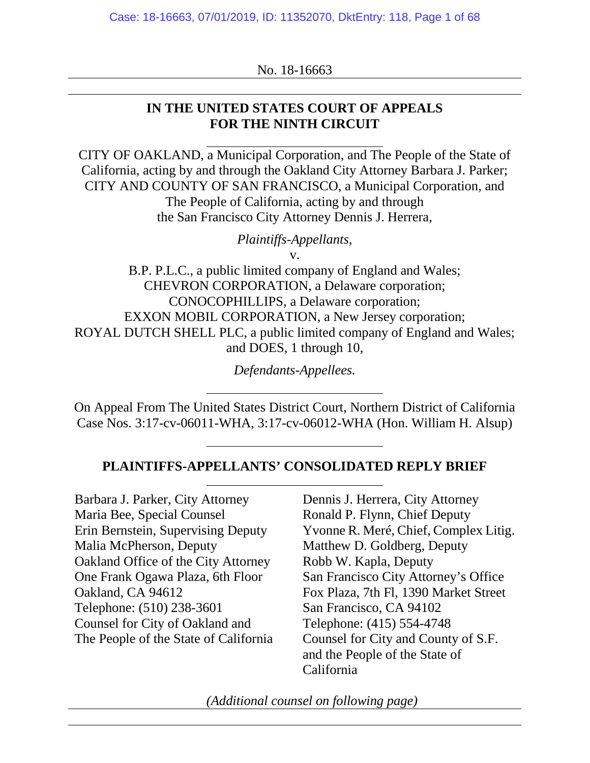No. 18-16663

### **IN THE UNITED STATES COURT OF APPEALS FOR THE NINTH CIRCUIT**

CITY OF OAKLAND, a Municipal Corporation, and The People of the State of California, acting by and through the Oakland City Attorney Barbara J. Parker; CITY AND COUNTY OF SAN FRANCISCO, a Municipal Corporation, and The People of California, acting by and through the San Francisco City Attorney Dennis J. Herrera,

*Plaintiffs-Appellants,*

v.

B.P. P.L.C., a public limited company of England and Wales; CHEVRON CORPORATION, a Delaware corporation; CONOCOPHILLIPS, a Delaware corporation; EXXON MOBIL CORPORATION, a New Jersey corporation; ROYAL DUTCH SHELL PLC, a public limited company of England and Wales; and DOES, 1 through 10,

*Defendants-Appellees.*

On Appeal From The United States District Court, Northern District of California Case Nos. 3:17-cv-06011-WHA, 3:17-cv-06012-WHA (Hon. William H. Alsup)

### **PLAINTIFFS-APPELLANTS' CONSOLIDATED REPLY BRIEF**

Barbara J. Parker, City Attorney Maria Bee, Special Counsel Erin Bernstein, Supervising Deputy Malia McPherson, Deputy Oakland Office of the City Attorney One Frank Ogawa Plaza, 6th Floor Oakland, CA 94612 Telephone: (510) 238-3601 Counsel for City of Oakland and The People of the State of California Dennis J. Herrera, City Attorney Ronald P. Flynn, Chief Deputy Yvonne R. Meré, Chief, Complex Litig. Matthew D. Goldberg, Deputy Robb W. Kapla, Deputy San Francisco City Attorney's Office Fox Plaza, 7th Fl, 1390 Market Street San Francisco, CA 94102 Telephone: (415) 554-4748 Counsel for City and County of S.F. and the People of the State of California

*(Additional counsel on following page)*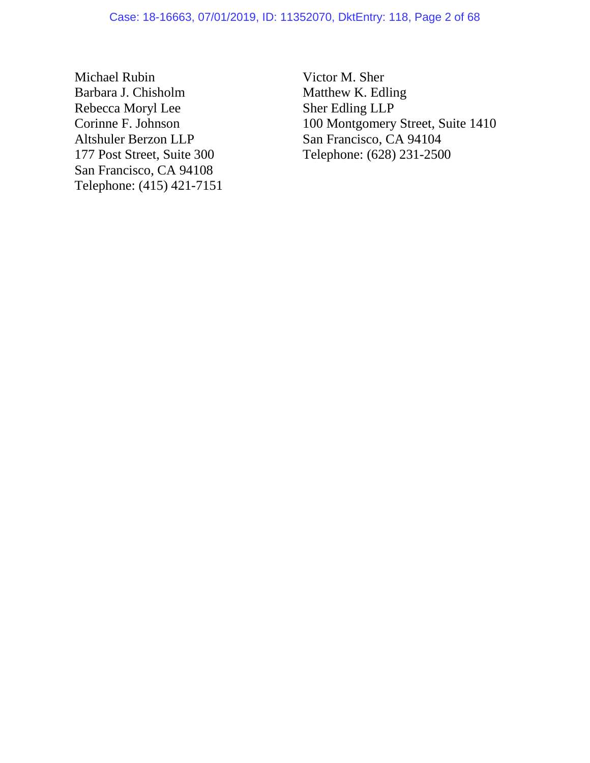Michael Rubin Barbara J. Chisholm Rebecca Moryl Lee Corinne F. Johnson Altshuler Berzon LLP 177 Post Street, Suite 300 San Francisco, CA 94108 Telephone: (415) 421-7151 Victor M. Sher Matthew K. Edling Sher Edling LLP 100 Montgomery Street, Suite 1410 San Francisco, CA 94104 Telephone: (628) 231-2500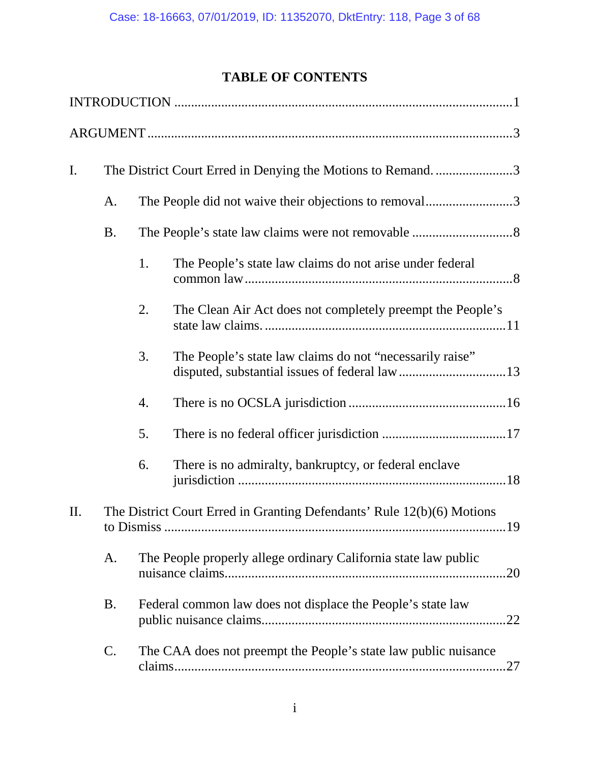# **TABLE OF CONTENTS**

| I.                                                                            |                                                                                                                                                                                                                            |    | The District Court Erred in Denying the Motions to Remand3 |  |
|-------------------------------------------------------------------------------|----------------------------------------------------------------------------------------------------------------------------------------------------------------------------------------------------------------------------|----|------------------------------------------------------------|--|
|                                                                               | A.                                                                                                                                                                                                                         |    | The People did not waive their objections to removal3      |  |
|                                                                               | <b>B.</b>                                                                                                                                                                                                                  |    |                                                            |  |
|                                                                               |                                                                                                                                                                                                                            | 1. | The People's state law claims do not arise under federal   |  |
|                                                                               |                                                                                                                                                                                                                            | 2. | The Clean Air Act does not completely preempt the People's |  |
|                                                                               |                                                                                                                                                                                                                            | 3. | The People's state law claims do not "necessarily raise"   |  |
|                                                                               |                                                                                                                                                                                                                            | 4. |                                                            |  |
|                                                                               |                                                                                                                                                                                                                            | 5. |                                                            |  |
|                                                                               |                                                                                                                                                                                                                            | 6. | There is no admiralty, bankruptcy, or federal enclave      |  |
| The District Court Erred in Granting Defendants' Rule 12(b)(6) Motions<br>II. |                                                                                                                                                                                                                            |    |                                                            |  |
|                                                                               | The People properly allege ordinary California state law public<br>A.<br><b>B.</b><br>Federal common law does not displace the People's state law<br>C.<br>The CAA does not preempt the People's state law public nuisance |    |                                                            |  |
|                                                                               |                                                                                                                                                                                                                            |    |                                                            |  |
|                                                                               |                                                                                                                                                                                                                            |    |                                                            |  |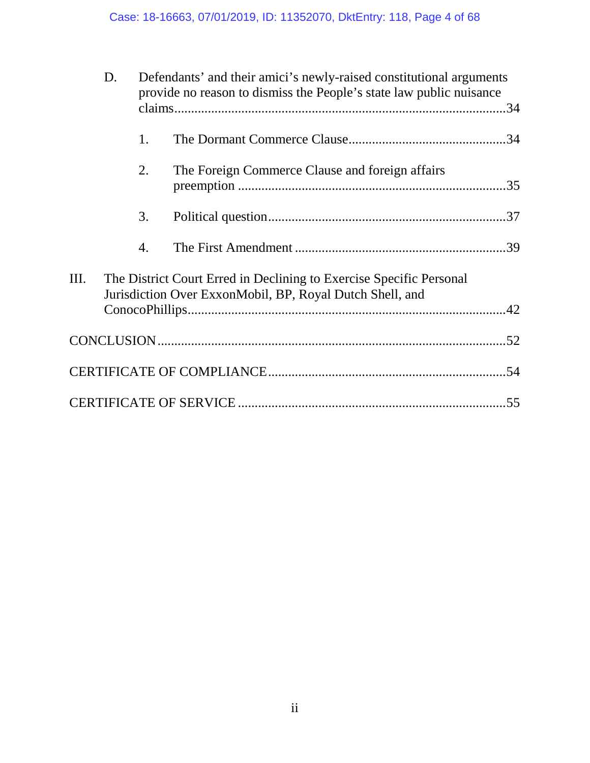|                 | D. | Defendants' and their amici's newly-raised constitutional arguments<br>provide no reason to dismiss the People's state law public nuisance |                                                                                                                                 |  |
|-----------------|----|--------------------------------------------------------------------------------------------------------------------------------------------|---------------------------------------------------------------------------------------------------------------------------------|--|
|                 |    |                                                                                                                                            |                                                                                                                                 |  |
|                 |    | 1.                                                                                                                                         |                                                                                                                                 |  |
|                 |    | 2.                                                                                                                                         | The Foreign Commerce Clause and foreign affairs                                                                                 |  |
|                 |    | 3.                                                                                                                                         |                                                                                                                                 |  |
|                 |    | 4.                                                                                                                                         |                                                                                                                                 |  |
| $\mathbf{III}.$ |    |                                                                                                                                            | The District Court Erred in Declining to Exercise Specific Personal<br>Jurisdiction Over ExxonMobil, BP, Royal Dutch Shell, and |  |
|                 |    |                                                                                                                                            |                                                                                                                                 |  |
|                 |    |                                                                                                                                            |                                                                                                                                 |  |
|                 |    |                                                                                                                                            |                                                                                                                                 |  |
|                 |    |                                                                                                                                            |                                                                                                                                 |  |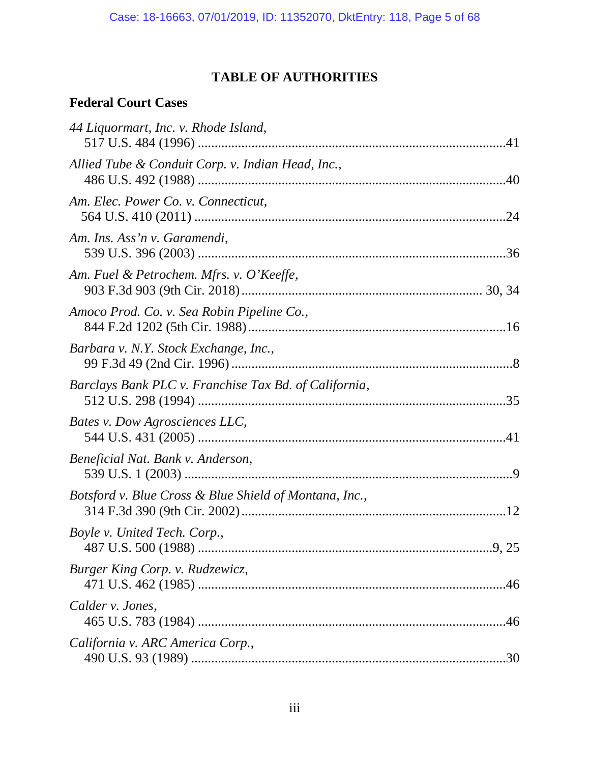# **TABLE OF AUTHORITIES**

### **Federal Court Cases**

| 44 Liquormart, Inc. v. Rhode Island,                   |  |
|--------------------------------------------------------|--|
| Allied Tube & Conduit Corp. v. Indian Head, Inc.,      |  |
| Am. Elec. Power Co. v. Connecticut,                    |  |
| Am. Ins. Ass'n v. Garamendi,                           |  |
| Am. Fuel & Petrochem. Mfrs. v. O'Keeffe,               |  |
| Amoco Prod. Co. v. Sea Robin Pipeline Co.,             |  |
| Barbara v. N.Y. Stock Exchange, Inc.,                  |  |
| Barclays Bank PLC v. Franchise Tax Bd. of California,  |  |
| Bates v. Dow Agrosciences LLC,                         |  |
| Beneficial Nat. Bank v. Anderson,                      |  |
| Botsford v. Blue Cross & Blue Shield of Montana, Inc., |  |
| Boyle v. United Tech. Corp.,                           |  |
| Burger King Corp. v. Rudzewicz,                        |  |
| Calder v. Jones,                                       |  |
| California v. ARC America Corp.,                       |  |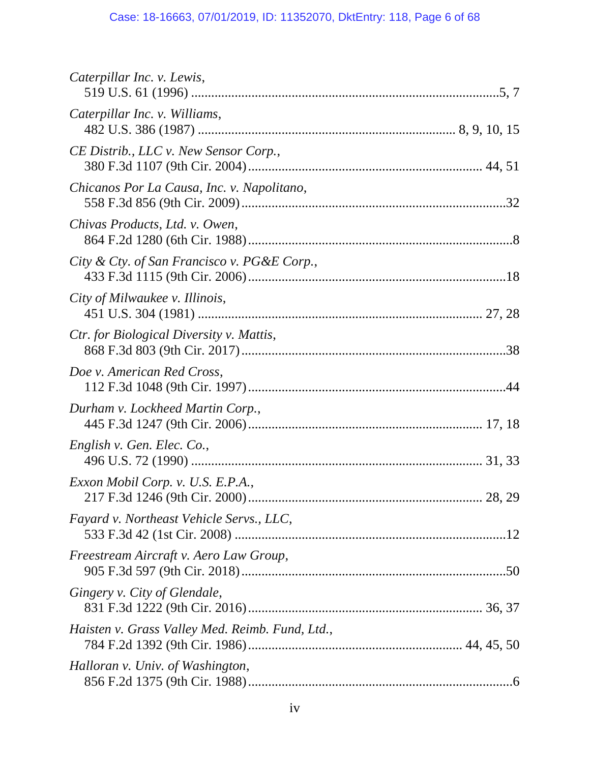| Caterpillar Inc. v. Lewis,                      |  |
|-------------------------------------------------|--|
| Caterpillar Inc. v. Williams,                   |  |
| CE Distrib., LLC v. New Sensor Corp.,           |  |
| Chicanos Por La Causa, Inc. v. Napolitano,      |  |
| Chivas Products, Ltd. v. Owen,                  |  |
| City & Cty. of San Francisco v. PG&E Corp.,     |  |
| City of Milwaukee v. Illinois,                  |  |
| <i>Ctr. for Biological Diversity v. Mattis,</i> |  |
| Doe v. American Red Cross,                      |  |
| Durham v. Lockheed Martin Corp.,                |  |
| English v. Gen. Elec. Co.,                      |  |
| Exxon Mobil Corp. v. U.S. E.P.A.,               |  |
| Fayard v. Northeast Vehicle Servs., LLC,        |  |
| Freestream Aircraft v. Aero Law Group,          |  |
| Gingery v. City of Glendale,                    |  |
| Haisten v. Grass Valley Med. Reimb. Fund, Ltd., |  |
| Halloran v. Univ. of Washington,                |  |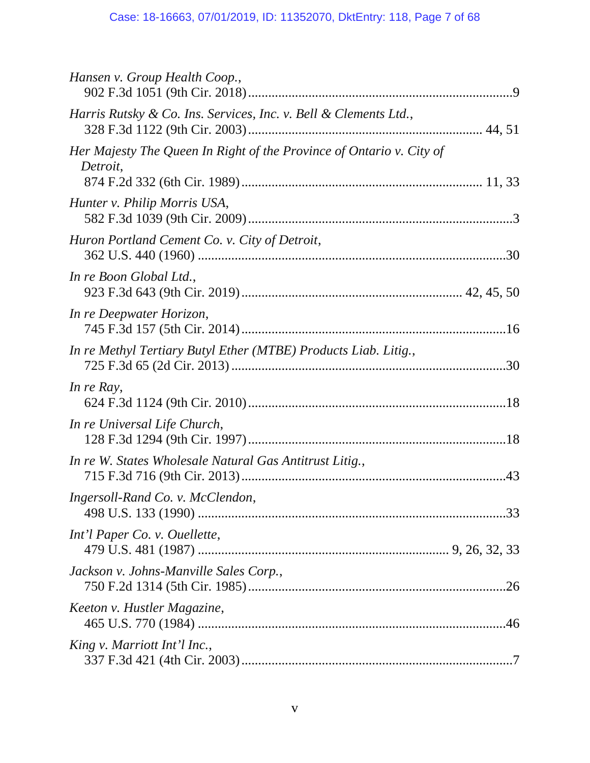| Hansen v. Group Health Coop.,                                                    |  |
|----------------------------------------------------------------------------------|--|
| Harris Rutsky & Co. Ins. Services, Inc. v. Bell & Clements Ltd.,                 |  |
| Her Majesty The Queen In Right of the Province of Ontario v. City of<br>Detroit, |  |
| Hunter v. Philip Morris USA,                                                     |  |
| Huron Portland Cement Co. v. City of Detroit,                                    |  |
| In re Boon Global Ltd.,                                                          |  |
| In re Deepwater Horizon,                                                         |  |
| In re Methyl Tertiary Butyl Ether (MTBE) Products Liab. Litig.,                  |  |
| In re Ray,                                                                       |  |
| In re Universal Life Church,                                                     |  |
| In re W. States Wholesale Natural Gas Antitrust Litig.,                          |  |
| Ingersoll-Rand Co. v. McClendon,                                                 |  |
| Int'l Paper Co. v. Ouellette,                                                    |  |
| Jackson v. Johns-Manville Sales Corp.,                                           |  |
| Keeton v. Hustler Magazine,                                                      |  |
| King v. Marriott Int'l Inc.,                                                     |  |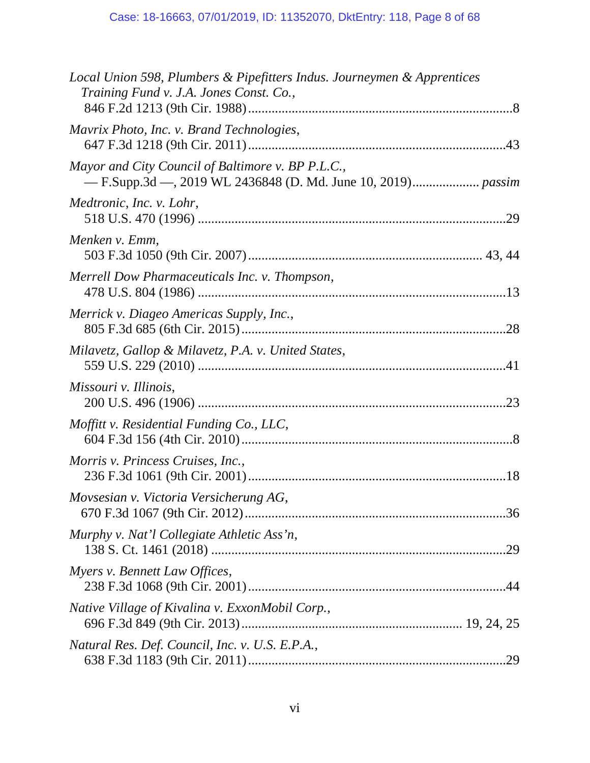| Local Union 598, Plumbers & Pipefitters Indus. Journeymen & Apprentices<br>Training Fund v. J.A. Jones Const. Co., |  |
|--------------------------------------------------------------------------------------------------------------------|--|
| Mavrix Photo, Inc. v. Brand Technologies,                                                                          |  |
| Mayor and City Council of Baltimore v. BP P.L.C.,                                                                  |  |
| Medtronic, Inc. v. Lohr,                                                                                           |  |
| Menken v. Emm,                                                                                                     |  |
| Merrell Dow Pharmaceuticals Inc. v. Thompson,                                                                      |  |
| Merrick v. Diageo Americas Supply, Inc.,                                                                           |  |
| Milavetz, Gallop & Milavetz, P.A. v. United States,                                                                |  |
| Missouri v. Illinois,                                                                                              |  |
| Moffitt v. Residential Funding Co., LLC,                                                                           |  |
| Morris v. Princess Cruises, Inc.,                                                                                  |  |
| Movsesian v. Victoria Versicherung AG,                                                                             |  |
| Murphy v. Nat'l Collegiate Athletic Ass'n,                                                                         |  |
| Myers v. Bennett Law Offices,                                                                                      |  |
| Native Village of Kivalina v. ExxonMobil Corp.,                                                                    |  |
| Natural Res. Def. Council, Inc. v. U.S. E.P.A.,                                                                    |  |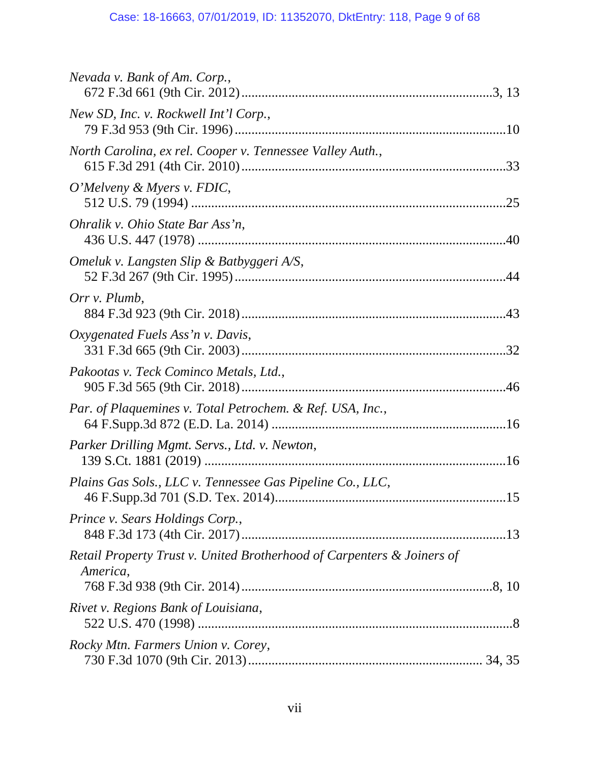| Nevada v. Bank of Am. Corp.,                                                       |
|------------------------------------------------------------------------------------|
| New SD, Inc. v. Rockwell Int'l Corp.,                                              |
| North Carolina, ex rel. Cooper v. Tennessee Valley Auth.,                          |
| O'Melveny & Myers v. FDIC,                                                         |
| Ohralik v. Ohio State Bar Ass'n,                                                   |
| Omeluk v. Langsten Slip & Batbyggeri A/S,                                          |
| Orr v. Plumb,                                                                      |
| Oxygenated Fuels Ass'n v. Davis,                                                   |
| Pakootas v. Teck Cominco Metals, Ltd.,                                             |
| Par. of Plaquemines v. Total Petrochem. & Ref. USA, Inc.,                          |
| Parker Drilling Mgmt. Servs., Ltd. v. Newton,                                      |
| Plains Gas Sols., LLC v. Tennessee Gas Pipeline Co., LLC,                          |
| Prince v. Sears Holdings Corp.,                                                    |
| Retail Property Trust v. United Brotherhood of Carpenters & Joiners of<br>America, |
| Rivet v. Regions Bank of Louisiana,                                                |
| Rocky Mtn. Farmers Union v. Corey,                                                 |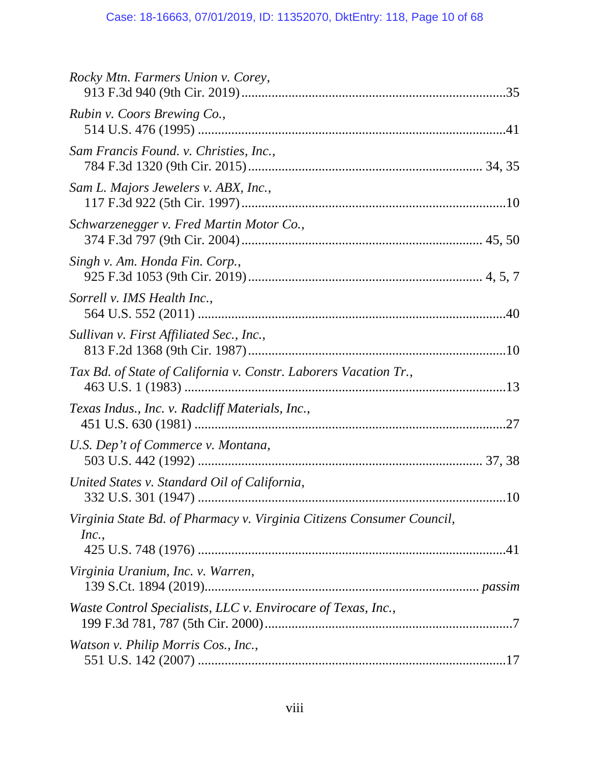| Rocky Mtn. Farmers Union v. Corey,                                             |  |
|--------------------------------------------------------------------------------|--|
| Rubin v. Coors Brewing Co.,                                                    |  |
| Sam Francis Found. v. Christies, Inc.,                                         |  |
| Sam L. Majors Jewelers v. ABX, Inc.,                                           |  |
| Schwarzenegger v. Fred Martin Motor Co.,                                       |  |
| Singh v. Am. Honda Fin. Corp.,                                                 |  |
| Sorrell v. IMS Health Inc.,                                                    |  |
| Sullivan v. First Affiliated Sec., Inc.,                                       |  |
| Tax Bd. of State of California v. Constr. Laborers Vacation Tr.,               |  |
| Texas Indus., Inc. v. Radcliff Materials, Inc.,                                |  |
| U.S. Dep't of Commerce v. Montana,                                             |  |
| United States v. Standard Oil of California,                                   |  |
| Virginia State Bd. of Pharmacy v. Virginia Citizens Consumer Council,<br>Inc., |  |
| Virginia Uranium, Inc. v. Warren,                                              |  |
| Waste Control Specialists, LLC v. Envirocare of Texas, Inc.,                   |  |
| Watson v. Philip Morris Cos., Inc.,                                            |  |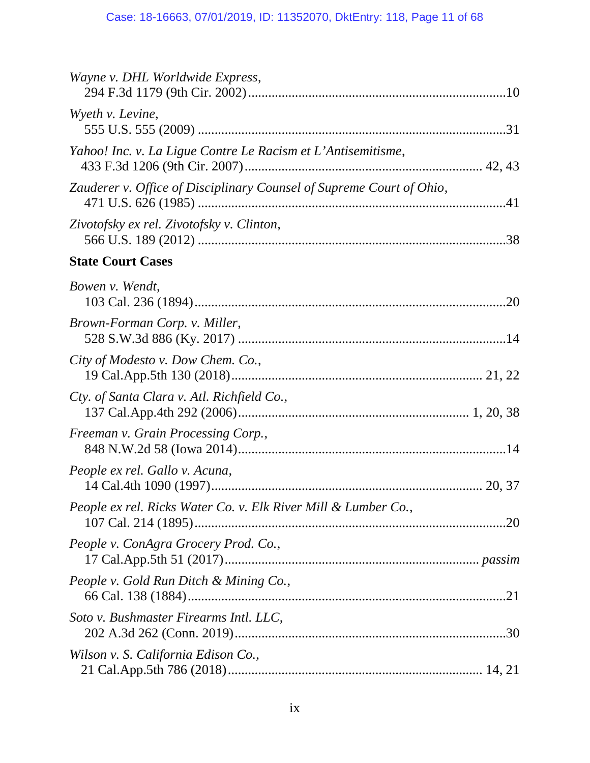| Wayne v. DHL Worldwide Express,                                      |  |
|----------------------------------------------------------------------|--|
| Wyeth v. Levine,                                                     |  |
| Yahoo! Inc. v. La Ligue Contre Le Racism et L'Antisemitisme,         |  |
| Zauderer v. Office of Disciplinary Counsel of Supreme Court of Ohio, |  |
| Zivotofsky ex rel. Zivotofsky v. Clinton,                            |  |
| <b>State Court Cases</b>                                             |  |
| Bowen v. Wendt,                                                      |  |
| Brown-Forman Corp. v. Miller,                                        |  |
| City of Modesto v. Dow Chem. Co.,                                    |  |
| Cty. of Santa Clara v. Atl. Richfield Co.,                           |  |
| Freeman v. Grain Processing Corp.,                                   |  |
| People ex rel. Gallo v. Acuna,                                       |  |
| People ex rel. Ricks Water Co. v. Elk River Mill & Lumber Co.,       |  |
| People v. ConAgra Grocery Prod. Co.,                                 |  |
| People v. Gold Run Ditch & Mining Co.,                               |  |
| Soto v. Bushmaster Firearms Intl. LLC,                               |  |
| Wilson v. S. California Edison Co.,                                  |  |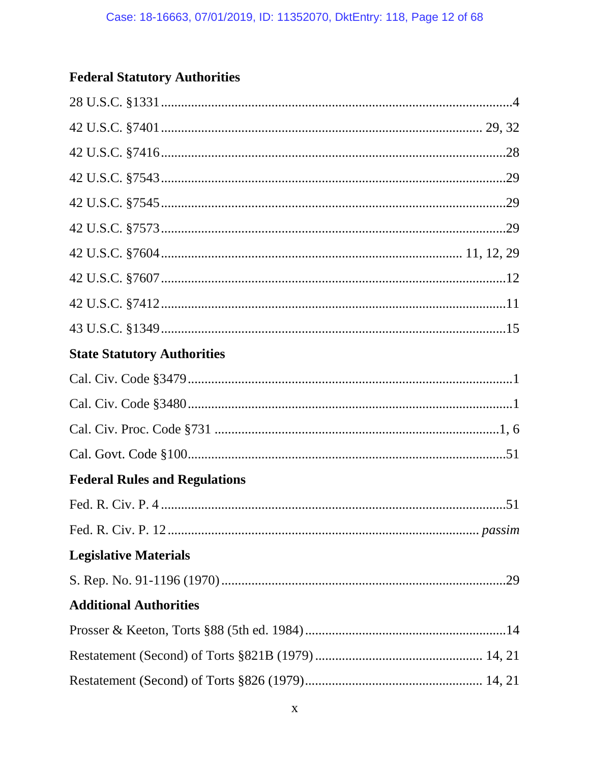# **Federal Statutory Authorities**

| <b>State Statutory Authorities</b>   |  |
|--------------------------------------|--|
|                                      |  |
|                                      |  |
|                                      |  |
|                                      |  |
| <b>Federal Rules and Regulations</b> |  |
|                                      |  |
|                                      |  |
| <b>Legislative Materials</b>         |  |
|                                      |  |
| <b>Additional Authorities</b>        |  |
|                                      |  |
|                                      |  |
|                                      |  |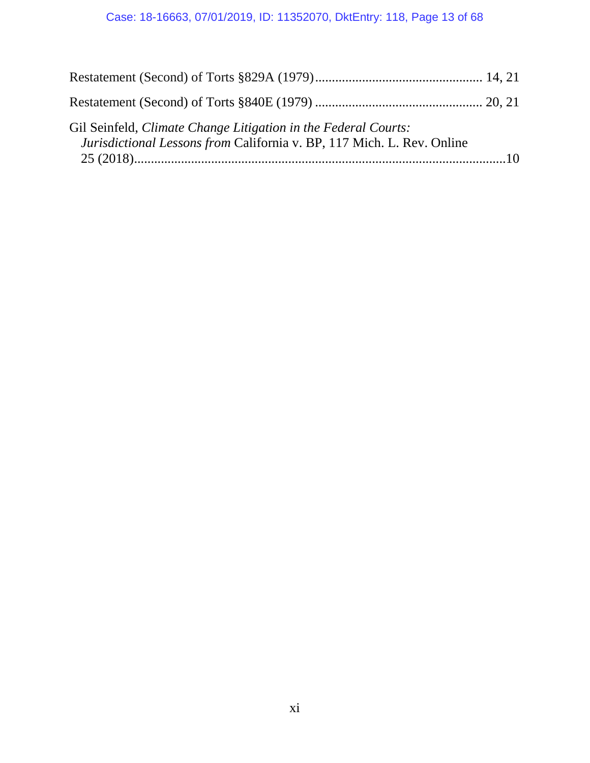# Case: 18-16663, 07/01/2019, ID: 11352070, DktEntry: 118, Page 13 of 68

| Gil Seinfeld, Climate Change Litigation in the Federal Courts:<br>Jurisdictional Lessons from California v. BP, 117 Mich. L. Rev. Online |  |
|------------------------------------------------------------------------------------------------------------------------------------------|--|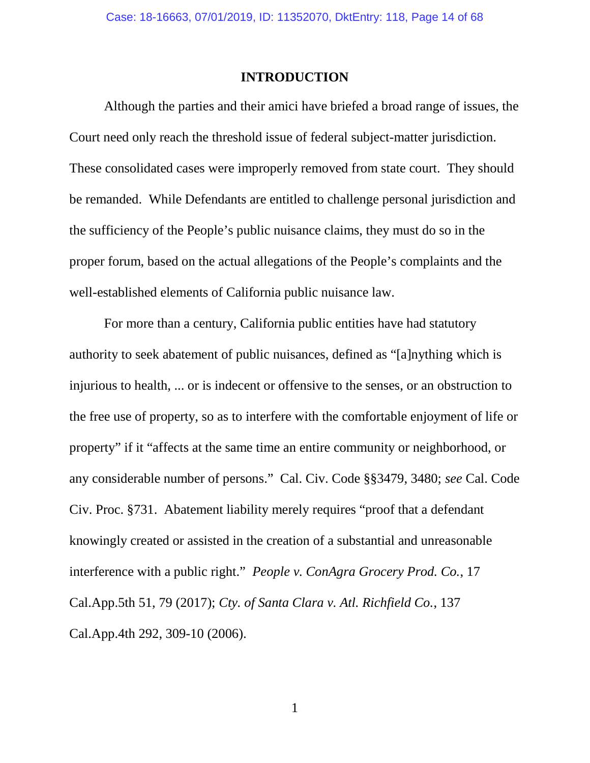#### **INTRODUCTION**

Although the parties and their amici have briefed a broad range of issues, the Court need only reach the threshold issue of federal subject-matter jurisdiction. These consolidated cases were improperly removed from state court. They should be remanded. While Defendants are entitled to challenge personal jurisdiction and the sufficiency of the People's public nuisance claims, they must do so in the proper forum, based on the actual allegations of the People's complaints and the well-established elements of California public nuisance law.

For more than a century, California public entities have had statutory authority to seek abatement of public nuisances, defined as "[a]nything which is injurious to health, ... or is indecent or offensive to the senses, or an obstruction to the free use of property, so as to interfere with the comfortable enjoyment of life or property" if it "affects at the same time an entire community or neighborhood, or any considerable number of persons." Cal. Civ. Code §§3479, 3480; *see* Cal. Code Civ. Proc. §731. Abatement liability merely requires "proof that a defendant knowingly created or assisted in the creation of a substantial and unreasonable interference with a public right." *People v. ConAgra Grocery Prod. Co.*, 17 Cal.App.5th 51, 79 (2017); *Cty. of Santa Clara v. Atl. Richfield Co.*, 137 Cal.App.4th 292, 309-10 (2006).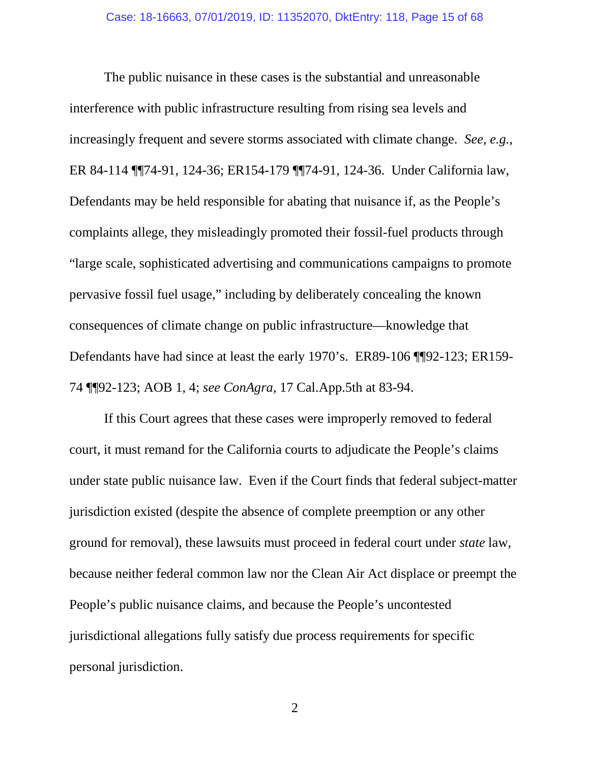The public nuisance in these cases is the substantial and unreasonable interference with public infrastructure resulting from rising sea levels and increasingly frequent and severe storms associated with climate change. *See, e.g.*, ER 84-114 ¶¶74-91, 124-36; ER154-179 ¶¶74-91, 124-36. Under California law, Defendants may be held responsible for abating that nuisance if, as the People's complaints allege, they misleadingly promoted their fossil-fuel products through "large scale, sophisticated advertising and communications campaigns to promote pervasive fossil fuel usage," including by deliberately concealing the known consequences of climate change on public infrastructure—knowledge that Defendants have had since at least the early 1970's. ER89-106 ¶¶92-123; ER159- 74 ¶¶92-123; AOB 1, 4; *see ConAgra*, 17 Cal.App.5th at 83-94.

If this Court agrees that these cases were improperly removed to federal court, it must remand for the California courts to adjudicate the People's claims under state public nuisance law. Even if the Court finds that federal subject-matter jurisdiction existed (despite the absence of complete preemption or any other ground for removal), these lawsuits must proceed in federal court under *state* law, because neither federal common law nor the Clean Air Act displace or preempt the People's public nuisance claims, and because the People's uncontested jurisdictional allegations fully satisfy due process requirements for specific personal jurisdiction.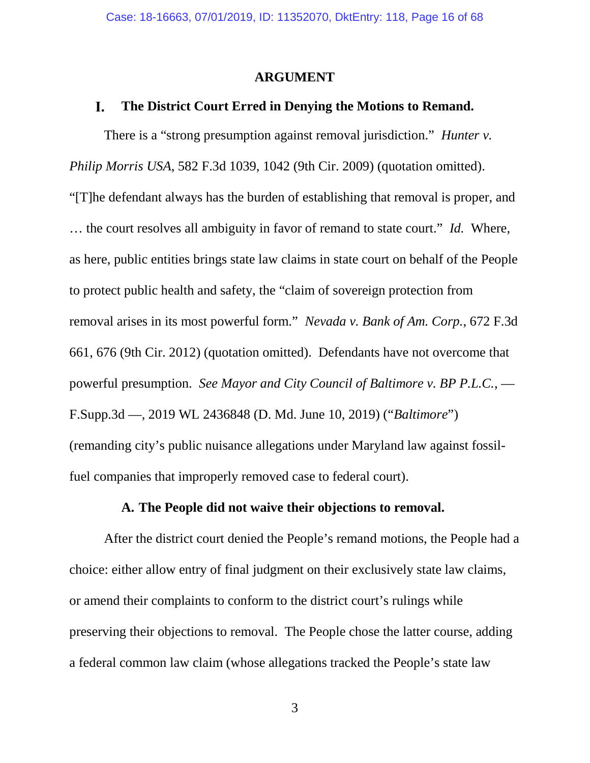#### **ARGUMENT**

#### L. **The District Court Erred in Denying the Motions to Remand.**

There is a "strong presumption against removal jurisdiction." *Hunter v. Philip Morris USA*, 582 F.3d 1039, 1042 (9th Cir. 2009) (quotation omitted). "[T]he defendant always has the burden of establishing that removal is proper, and … the court resolves all ambiguity in favor of remand to state court." *Id.* Where, as here, public entities brings state law claims in state court on behalf of the People to protect public health and safety, the "claim of sovereign protection from removal arises in its most powerful form." *Nevada v. Bank of Am. Corp.*, 672 F.3d 661, 676 (9th Cir. 2012) (quotation omitted). Defendants have not overcome that powerful presumption. *See Mayor and City Council of Baltimore v. BP P.L.C.*, — F.Supp.3d —, 2019 WL 2436848 (D. Md. June 10, 2019) ("*Baltimore*") (remanding city's public nuisance allegations under Maryland law against fossilfuel companies that improperly removed case to federal court).

#### **A. The People did not waive their objections to removal.**

After the district court denied the People's remand motions, the People had a choice: either allow entry of final judgment on their exclusively state law claims, or amend their complaints to conform to the district court's rulings while preserving their objections to removal. The People chose the latter course, adding a federal common law claim (whose allegations tracked the People's state law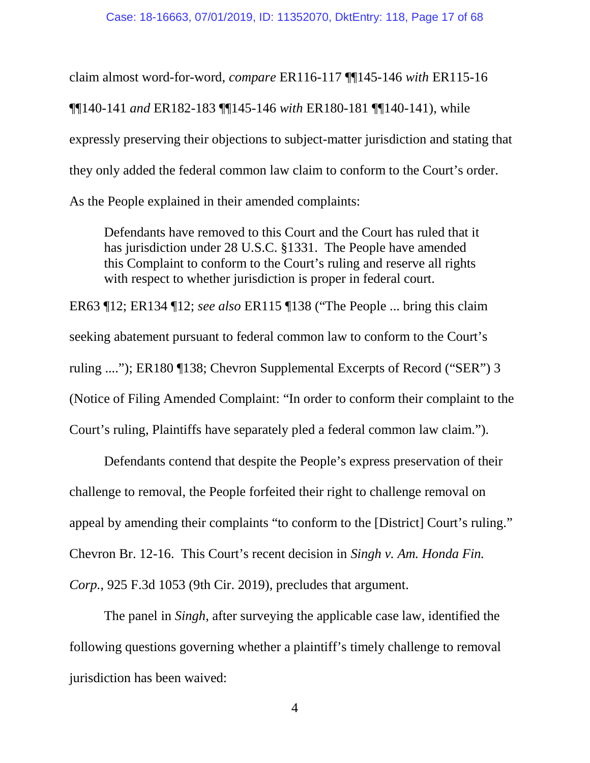claim almost word-for-word, *compare* ER116-117 ¶¶145-146 *with* ER115-16 ¶¶140-141 *and* ER182-183 ¶¶145-146 *with* ER180-181 ¶¶140-141), while expressly preserving their objections to subject-matter jurisdiction and stating that they only added the federal common law claim to conform to the Court's order. As the People explained in their amended complaints:

Defendants have removed to this Court and the Court has ruled that it has jurisdiction under 28 U.S.C. §1331. The People have amended this Complaint to conform to the Court's ruling and reserve all rights with respect to whether jurisdiction is proper in federal court.

ER63 ¶12; ER134 ¶12; *see also* ER115 ¶138 ("The People ... bring this claim seeking abatement pursuant to federal common law to conform to the Court's ruling ...."); ER180 ¶138; Chevron Supplemental Excerpts of Record ("SER") 3 (Notice of Filing Amended Complaint: "In order to conform their complaint to the Court's ruling, Plaintiffs have separately pled a federal common law claim.").

Defendants contend that despite the People's express preservation of their challenge to removal, the People forfeited their right to challenge removal on appeal by amending their complaints "to conform to the [District] Court's ruling." Chevron Br. 12-16. This Court's recent decision in *Singh v. Am. Honda Fin. Corp.*, 925 F.3d 1053 (9th Cir. 2019), precludes that argument.

The panel in *Singh*, after surveying the applicable case law, identified the following questions governing whether a plaintiff's timely challenge to removal jurisdiction has been waived: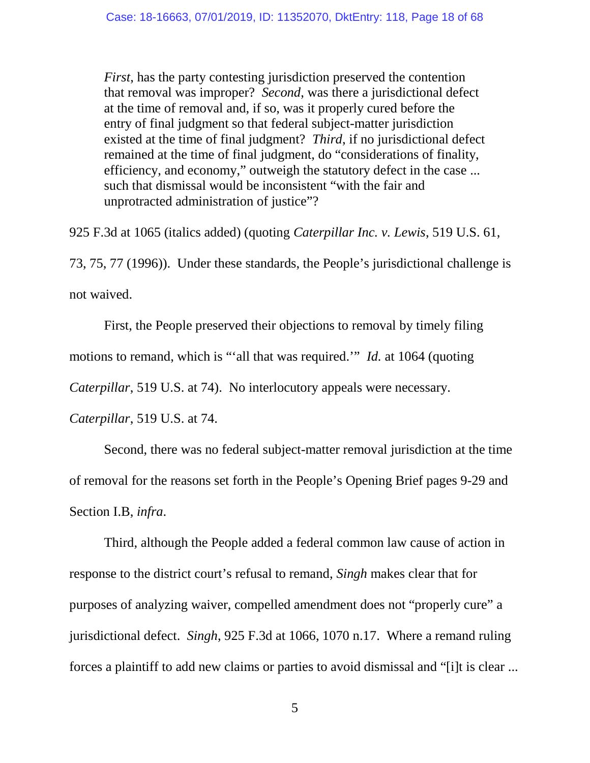*First*, has the party contesting jurisdiction preserved the contention that removal was improper? *Second*, was there a jurisdictional defect at the time of removal and, if so, was it properly cured before the entry of final judgment so that federal subject-matter jurisdiction existed at the time of final judgment? *Third*, if no jurisdictional defect remained at the time of final judgment, do "considerations of finality, efficiency, and economy," outweigh the statutory defect in the case ... such that dismissal would be inconsistent "with the fair and unprotracted administration of justice"?

925 F.3d at 1065 (italics added) (quoting *Caterpillar Inc. v. Lewis*, 519 U.S. 61, 73, 75, 77 (1996)). Under these standards, the People's jurisdictional challenge is not waived.

First, the People preserved their objections to removal by timely filing motions to remand, which is "'all that was required.'" *Id.* at 1064 (quoting *Caterpillar*, 519 U.S. at 74). No interlocutory appeals were necessary.

*Caterpillar*, 519 U.S. at 74.

Second, there was no federal subject-matter removal jurisdiction at the time of removal for the reasons set forth in the People's Opening Brief pages 9-29 and Section I.B, *infra*.

Third, although the People added a federal common law cause of action in response to the district court's refusal to remand, *Singh* makes clear that for purposes of analyzing waiver, compelled amendment does not "properly cure" a jurisdictional defect. *Singh*, 925 F.3d at 1066, 1070 n.17. Where a remand ruling forces a plaintiff to add new claims or parties to avoid dismissal and "[i]t is clear ...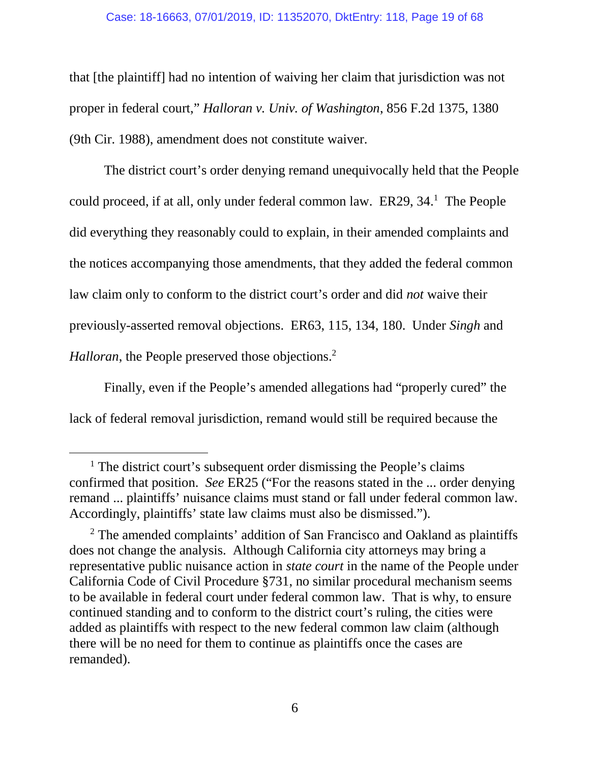#### Case: 18-16663, 07/01/2019, ID: 11352070, DktEntry: 118, Page 19 of 68

that [the plaintiff] had no intention of waiving her claim that jurisdiction was not proper in federal court," *Halloran v. Univ. of Washington*, 856 F.2d 1375, 1380 (9th Cir. 1988), amendment does not constitute waiver.

The district court's order denying remand unequivocally held that the People could proceed, if at all, only under federal common law. ER29, 34.<sup>1</sup> The People did everything they reasonably could to explain, in their amended complaints and the notices accompanying those amendments, that they added the federal common law claim only to conform to the district court's order and did *not* waive their previously-asserted removal objections. ER63, 115, 134, 180. Under *Singh* and *Halloran*, the People preserved those objections.<sup>2</sup>

Finally, even if the People's amended allegations had "properly cured" the lack of federal removal jurisdiction, remand would still be required because the

<sup>&</sup>lt;sup>1</sup> The district court's subsequent order dismissing the People's claims confirmed that position. *See* ER25 ("For the reasons stated in the ... order denying remand ... plaintiffs' nuisance claims must stand or fall under federal common law. Accordingly, plaintiffs' state law claims must also be dismissed.").

<sup>&</sup>lt;sup>2</sup> The amended complaints' addition of San Francisco and Oakland as plaintiffs does not change the analysis. Although California city attorneys may bring a representative public nuisance action in *state court* in the name of the People under California Code of Civil Procedure §731, no similar procedural mechanism seems to be available in federal court under federal common law. That is why, to ensure continued standing and to conform to the district court's ruling, the cities were added as plaintiffs with respect to the new federal common law claim (although there will be no need for them to continue as plaintiffs once the cases are remanded).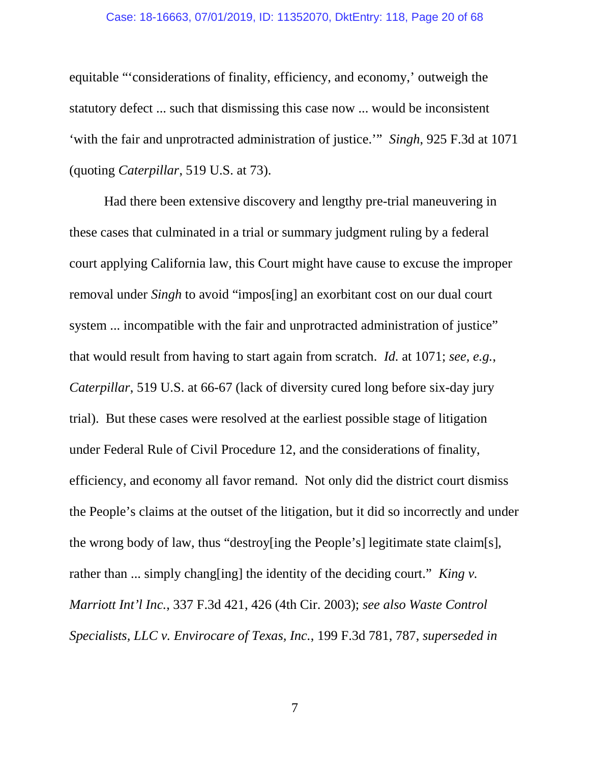#### Case: 18-16663, 07/01/2019, ID: 11352070, DktEntry: 118, Page 20 of 68

equitable "'considerations of finality, efficiency, and economy,' outweigh the statutory defect ... such that dismissing this case now ... would be inconsistent 'with the fair and unprotracted administration of justice.'" *Singh*, 925 F.3d at 1071 (quoting *Caterpillar*, 519 U.S. at 73).

Had there been extensive discovery and lengthy pre-trial maneuvering in these cases that culminated in a trial or summary judgment ruling by a federal court applying California law, this Court might have cause to excuse the improper removal under *Singh* to avoid "impos[ing] an exorbitant cost on our dual court system ... incompatible with the fair and unprotracted administration of justice" that would result from having to start again from scratch. *Id.* at 1071; *see, e.g.*, *Caterpillar*, 519 U.S. at 66-67 (lack of diversity cured long before six-day jury trial). But these cases were resolved at the earliest possible stage of litigation under Federal Rule of Civil Procedure 12, and the considerations of finality, efficiency, and economy all favor remand. Not only did the district court dismiss the People's claims at the outset of the litigation, but it did so incorrectly and under the wrong body of law, thus "destroy[ing the People's] legitimate state claim[s], rather than ... simply chang[ing] the identity of the deciding court." *King v. Marriott Int'l Inc.*, 337 F.3d 421, 426 (4th Cir. 2003); *see also Waste Control Specialists, LLC v. Envirocare of Texas, Inc.*, 199 F.3d 781, 787, *superseded in*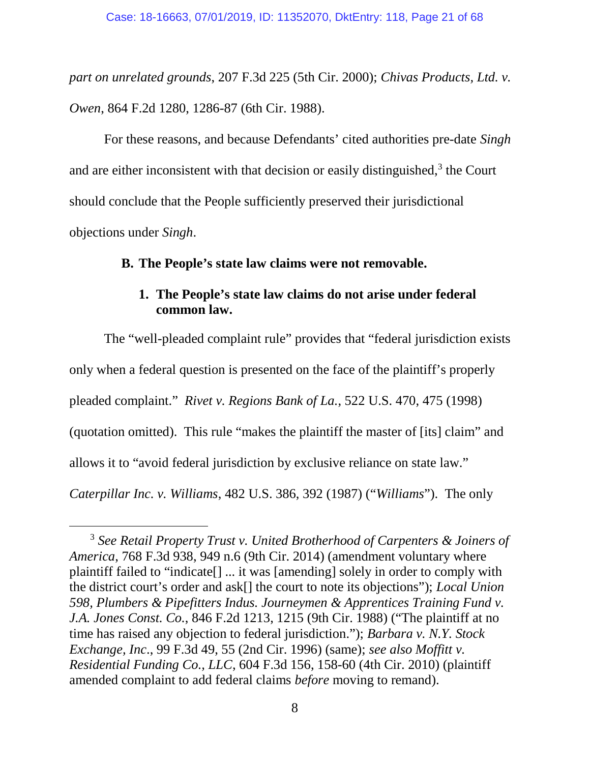*part on unrelated grounds*, 207 F.3d 225 (5th Cir. 2000); *Chivas Products, Ltd. v. Owen*, 864 F.2d 1280, 1286-87 (6th Cir. 1988).

For these reasons, and because Defendants' cited authorities pre-date *Singh* and are either inconsistent with that decision or easily distinguished, $3$  the Court should conclude that the People sufficiently preserved their jurisdictional objections under *Singh*.

### **B. The People's state law claims were not removable.**

### **1. The People's state law claims do not arise under federal common law.**

The "well-pleaded complaint rule" provides that "federal jurisdiction exists only when a federal question is presented on the face of the plaintiff's properly pleaded complaint." *Rivet v. Regions Bank of La.*, 522 U.S. 470, 475 (1998) (quotation omitted). This rule "makes the plaintiff the master of [its] claim" and allows it to "avoid federal jurisdiction by exclusive reliance on state law." *Caterpillar Inc. v. Williams*, 482 U.S. 386, 392 (1987) ("*Williams*"). The only

<sup>3</sup> *See Retail Property Trust v. United Brotherhood of Carpenters & Joiners of America*, 768 F.3d 938, 949 n.6 (9th Cir. 2014) (amendment voluntary where plaintiff failed to "indicate[] ... it was [amending] solely in order to comply with the district court's order and ask[] the court to note its objections"); *Local Union 598, Plumbers & Pipefitters Indus. Journeymen & Apprentices Training Fund v. J.A. Jones Const. Co.*, 846 F.2d 1213, 1215 (9th Cir. 1988) ("The plaintiff at no time has raised any objection to federal jurisdiction."); *Barbara v. N.Y. Stock Exchange, Inc*., 99 F.3d 49, 55 (2nd Cir. 1996) (same); *see also Moffitt v. Residential Funding Co., LLC*, 604 F.3d 156, 158-60 (4th Cir. 2010) (plaintiff amended complaint to add federal claims *before* moving to remand).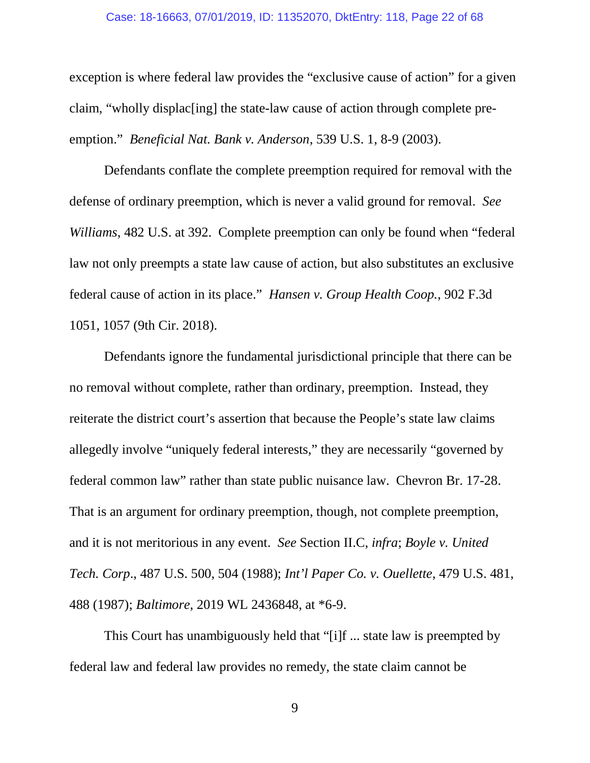#### Case: 18-16663, 07/01/2019, ID: 11352070, DktEntry: 118, Page 22 of 68

exception is where federal law provides the "exclusive cause of action" for a given claim, "wholly displac[ing] the state-law cause of action through complete preemption." *Beneficial Nat. Bank v. Anderson*, 539 U.S. 1, 8-9 (2003).

Defendants conflate the complete preemption required for removal with the defense of ordinary preemption, which is never a valid ground for removal. *See Williams*, 482 U.S. at 392. Complete preemption can only be found when "federal law not only preempts a state law cause of action, but also substitutes an exclusive federal cause of action in its place." *Hansen v. Group Health Coop.*, 902 F.3d 1051, 1057 (9th Cir. 2018).

Defendants ignore the fundamental jurisdictional principle that there can be no removal without complete, rather than ordinary, preemption. Instead, they reiterate the district court's assertion that because the People's state law claims allegedly involve "uniquely federal interests," they are necessarily "governed by federal common law" rather than state public nuisance law. Chevron Br. 17-28. That is an argument for ordinary preemption, though, not complete preemption, and it is not meritorious in any event. *See* Section II.C, *infra*; *Boyle v. United Tech. Corp*., 487 U.S. 500, 504 (1988); *Int'l Paper Co. v. Ouellette*, 479 U.S. 481, 488 (1987); *Baltimore*, 2019 WL 2436848, at \*6-9.

This Court has unambiguously held that "[i]f ... state law is preempted by federal law and federal law provides no remedy, the state claim cannot be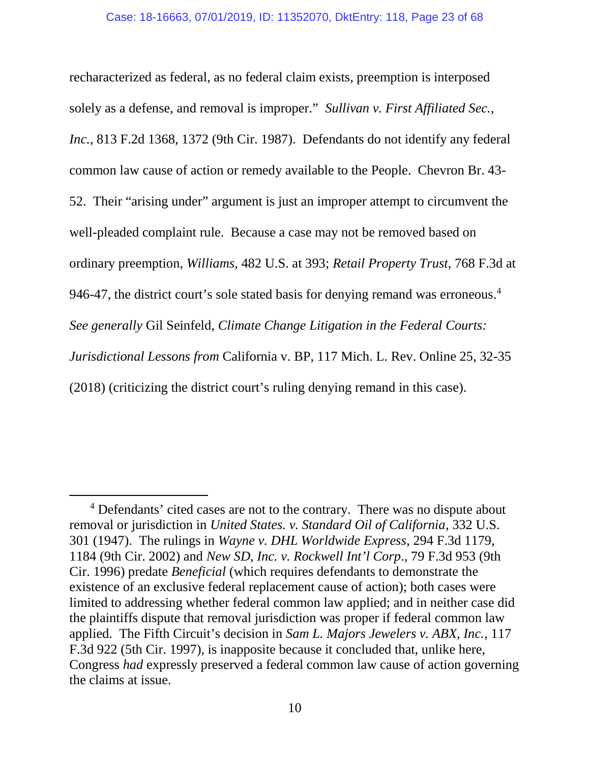recharacterized as federal, as no federal claim exists, preemption is interposed solely as a defense, and removal is improper." *Sullivan v. First Affiliated Sec., Inc.*, 813 F.2d 1368, 1372 (9th Cir. 1987). Defendants do not identify any federal common law cause of action or remedy available to the People. Chevron Br. 43- 52. Their "arising under" argument is just an improper attempt to circumvent the well-pleaded complaint rule. Because a case may not be removed based on ordinary preemption, *Williams*, 482 U.S. at 393; *Retail Property Trust*, 768 F.3d at 946-47, the district court's sole stated basis for denying remand was erroneous.<sup>4</sup> *See generally* Gil Seinfeld, *Climate Change Litigation in the Federal Courts: Jurisdictional Lessons from* California v. BP, 117 Mich. L. Rev. Online 25, 32-35 (2018) (criticizing the district court's ruling denying remand in this case).

<sup>&</sup>lt;sup>4</sup> Defendants' cited cases are not to the contrary. There was no dispute about removal or jurisdiction in *United States. v. Standard Oil of California*, 332 U.S. 301 (1947). The rulings in *Wayne v. DHL Worldwide Express*, 294 F.3d 1179, 1184 (9th Cir. 2002) and *New SD, Inc. v. Rockwell Int'l Corp*., 79 F.3d 953 (9th Cir. 1996) predate *Beneficial* (which requires defendants to demonstrate the existence of an exclusive federal replacement cause of action); both cases were limited to addressing whether federal common law applied; and in neither case did the plaintiffs dispute that removal jurisdiction was proper if federal common law applied. The Fifth Circuit's decision in *Sam L. Majors Jewelers v. ABX, Inc.*, 117 F.3d 922 (5th Cir. 1997), is inapposite because it concluded that, unlike here, Congress *had* expressly preserved a federal common law cause of action governing the claims at issue.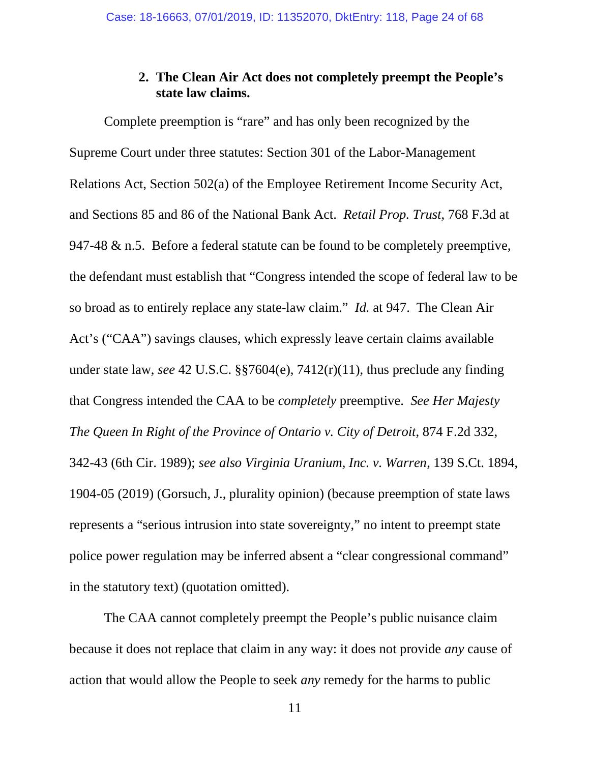### **2. The Clean Air Act does not completely preempt the People's state law claims.**

Complete preemption is "rare" and has only been recognized by the Supreme Court under three statutes: Section 301 of the Labor-Management Relations Act, Section 502(a) of the Employee Retirement Income Security Act, and Sections 85 and 86 of the National Bank Act. *Retail Prop. Trust*, 768 F.3d at 947-48 & n.5. Before a federal statute can be found to be completely preemptive, the defendant must establish that "Congress intended the scope of federal law to be so broad as to entirely replace any state-law claim." *Id.* at 947. The Clean Air Act's ("CAA") savings clauses, which expressly leave certain claims available under state law, *see* 42 U.S.C. §§7604(e), 7412(r)(11), thus preclude any finding that Congress intended the CAA to be *completely* preemptive. *See Her Majesty The Queen In Right of the Province of Ontario v. City of Detroit*, 874 F.2d 332, 342-43 (6th Cir. 1989); *see also Virginia Uranium, Inc. v. Warren*, 139 S.Ct. 1894, 1904-05 (2019) (Gorsuch, J., plurality opinion) (because preemption of state laws represents a "serious intrusion into state sovereignty," no intent to preempt state police power regulation may be inferred absent a "clear congressional command" in the statutory text) (quotation omitted).

The CAA cannot completely preempt the People's public nuisance claim because it does not replace that claim in any way: it does not provide *any* cause of action that would allow the People to seek *any* remedy for the harms to public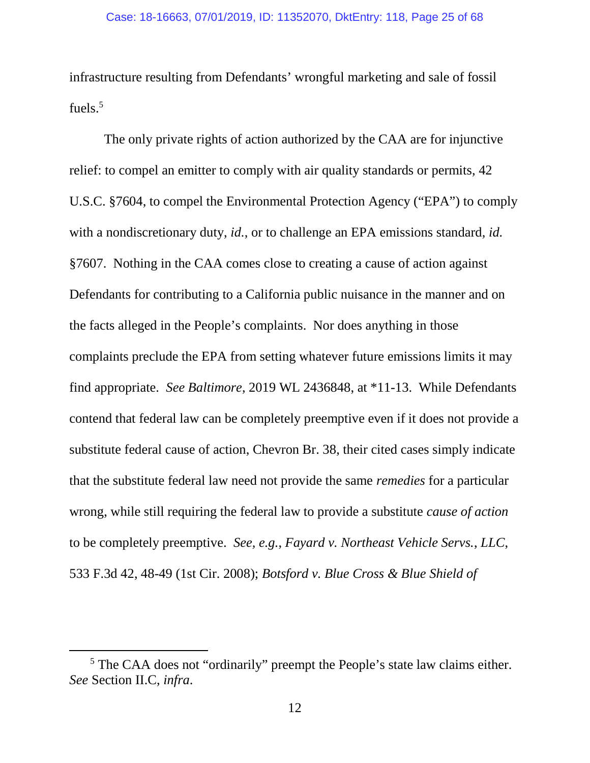infrastructure resulting from Defendants' wrongful marketing and sale of fossil fuels.<sup>5</sup>

The only private rights of action authorized by the CAA are for injunctive relief: to compel an emitter to comply with air quality standards or permits, 42 U.S.C. §7604, to compel the Environmental Protection Agency ("EPA") to comply with a nondiscretionary duty, *id.*, or to challenge an EPA emissions standard, *id.* §7607. Nothing in the CAA comes close to creating a cause of action against Defendants for contributing to a California public nuisance in the manner and on the facts alleged in the People's complaints. Nor does anything in those complaints preclude the EPA from setting whatever future emissions limits it may find appropriate. *See Baltimore*, 2019 WL 2436848, at \*11-13. While Defendants contend that federal law can be completely preemptive even if it does not provide a substitute federal cause of action, Chevron Br. 38, their cited cases simply indicate that the substitute federal law need not provide the same *remedies* for a particular wrong, while still requiring the federal law to provide a substitute *cause of action* to be completely preemptive. *See, e.g.*, *Fayard v. Northeast Vehicle Servs.*, *LLC*, 533 F.3d 42, 48-49 (1st Cir. 2008); *Botsford v. Blue Cross & Blue Shield of*

<sup>&</sup>lt;sup>5</sup> The CAA does not "ordinarily" preempt the People's state law claims either. *See* Section II.C, *infra*.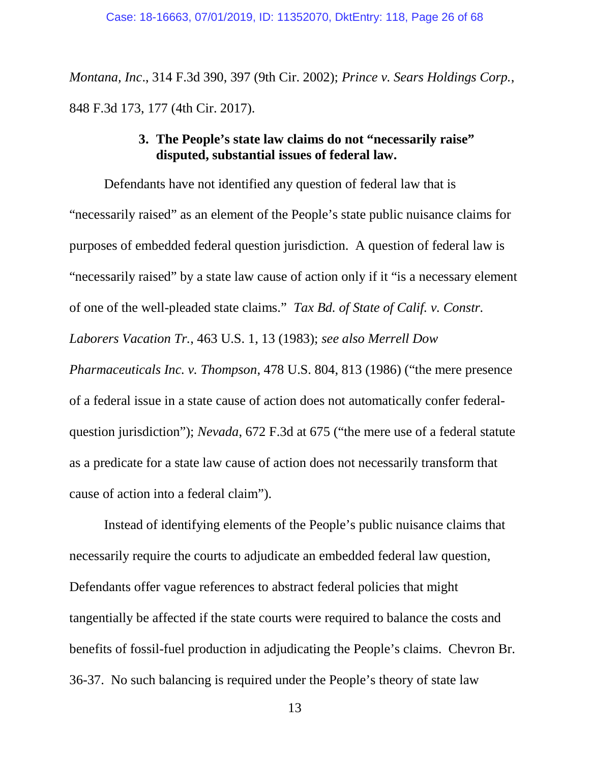*Montana, Inc*., 314 F.3d 390, 397 (9th Cir. 2002); *Prince v. Sears Holdings Corp.*, 848 F.3d 173, 177 (4th Cir. 2017).

### **3. The People's state law claims do not "necessarily raise" disputed, substantial issues of federal law.**

Defendants have not identified any question of federal law that is "necessarily raised" as an element of the People's state public nuisance claims for purposes of embedded federal question jurisdiction. A question of federal law is "necessarily raised" by a state law cause of action only if it "is a necessary element of one of the well-pleaded state claims." *Tax Bd. of State of Calif. v. Constr. Laborers Vacation Tr.*, 463 U.S. 1, 13 (1983); *see also Merrell Dow Pharmaceuticals Inc. v. Thompson*, 478 U.S. 804, 813 (1986) ("the mere presence of a federal issue in a state cause of action does not automatically confer federalquestion jurisdiction"); *Nevada*, 672 F.3d at 675 ("the mere use of a federal statute as a predicate for a state law cause of action does not necessarily transform that cause of action into a federal claim").

Instead of identifying elements of the People's public nuisance claims that necessarily require the courts to adjudicate an embedded federal law question, Defendants offer vague references to abstract federal policies that might tangentially be affected if the state courts were required to balance the costs and benefits of fossil-fuel production in adjudicating the People's claims. Chevron Br. 36-37. No such balancing is required under the People's theory of state law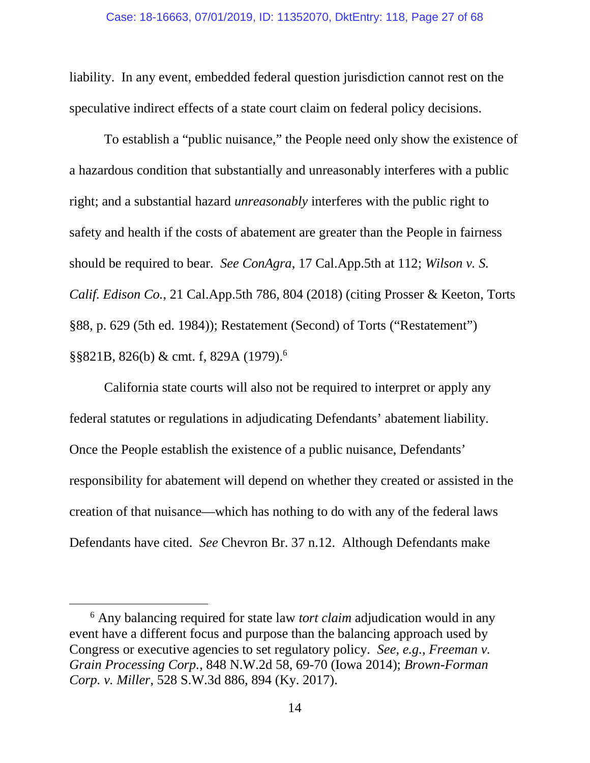liability. In any event, embedded federal question jurisdiction cannot rest on the speculative indirect effects of a state court claim on federal policy decisions.

To establish a "public nuisance," the People need only show the existence of a hazardous condition that substantially and unreasonably interferes with a public right; and a substantial hazard *unreasonably* interferes with the public right to safety and health if the costs of abatement are greater than the People in fairness should be required to bear. *See ConAgra*, 17 Cal.App.5th at 112; *Wilson v. S. Calif. Edison Co.*, 21 Cal.App.5th 786, 804 (2018) (citing Prosser & Keeton, Torts §88, p. 629 (5th ed. 1984)); Restatement (Second) of Torts ("Restatement") §§821B, 826(b) & cmt. f, 829A (1979).<sup>6</sup>

California state courts will also not be required to interpret or apply any federal statutes or regulations in adjudicating Defendants' abatement liability. Once the People establish the existence of a public nuisance, Defendants' responsibility for abatement will depend on whether they created or assisted in the creation of that nuisance—which has nothing to do with any of the federal laws Defendants have cited. *See* Chevron Br. 37 n.12. Although Defendants make

<sup>6</sup> Any balancing required for state law *tort claim* adjudication would in any event have a different focus and purpose than the balancing approach used by Congress or executive agencies to set regulatory policy. *See, e.g.*, *Freeman v. Grain Processing Corp.*, 848 N.W.2d 58, 69-70 (Iowa 2014); *Brown-Forman Corp. v. Miller*, 528 S.W.3d 886, 894 (Ky. 2017).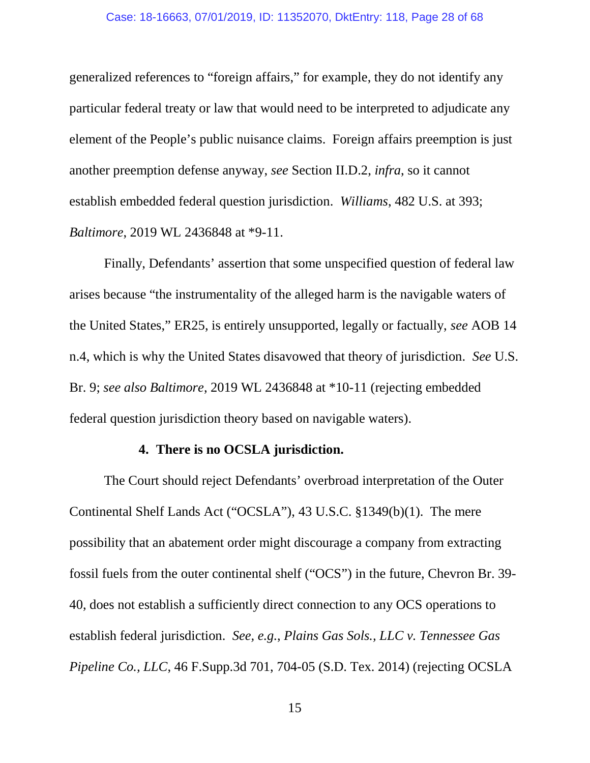generalized references to "foreign affairs," for example, they do not identify any particular federal treaty or law that would need to be interpreted to adjudicate any element of the People's public nuisance claims. Foreign affairs preemption is just another preemption defense anyway, *see* Section II.D.2, *infra*, so it cannot establish embedded federal question jurisdiction. *Williams*, 482 U.S. at 393; *Baltimore*, 2019 WL 2436848 at \*9-11.

Finally, Defendants' assertion that some unspecified question of federal law arises because "the instrumentality of the alleged harm is the navigable waters of the United States," ER25, is entirely unsupported, legally or factually, *see* AOB 14 n.4, which is why the United States disavowed that theory of jurisdiction. *See* U.S. Br. 9; *see also Baltimore*, 2019 WL 2436848 at \*10-11 (rejecting embedded federal question jurisdiction theory based on navigable waters).

### **4. There is no OCSLA jurisdiction.**

The Court should reject Defendants' overbroad interpretation of the Outer Continental Shelf Lands Act ("OCSLA"), 43 U.S.C. §1349(b)(1). The mere possibility that an abatement order might discourage a company from extracting fossil fuels from the outer continental shelf ("OCS") in the future, Chevron Br. 39- 40, does not establish a sufficiently direct connection to any OCS operations to establish federal jurisdiction. *See, e.g.*, *Plains Gas Sols., LLC v. Tennessee Gas Pipeline Co., LLC*, 46 F.Supp.3d 701, 704-05 (S.D. Tex. 2014) (rejecting OCSLA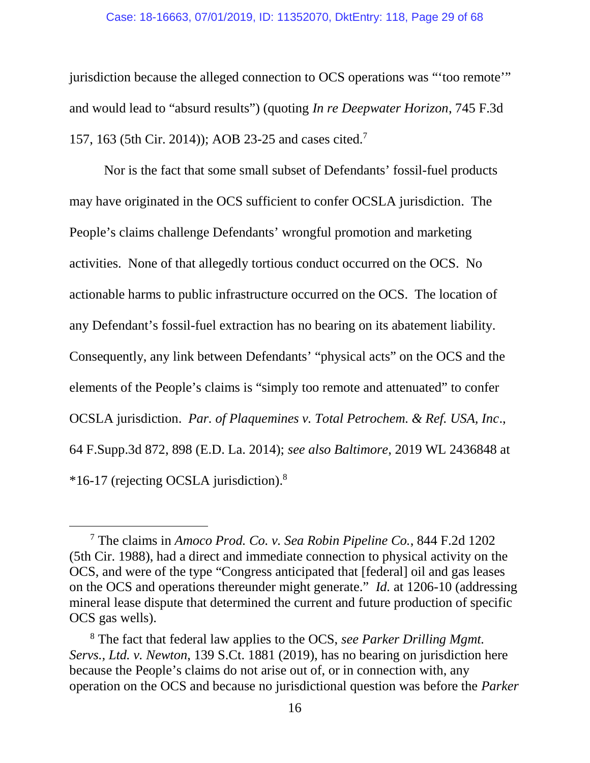#### Case: 18-16663, 07/01/2019, ID: 11352070, DktEntry: 118, Page 29 of 68

jurisdiction because the alleged connection to OCS operations was "'too remote'" and would lead to "absurd results") (quoting *In re Deepwater Horizon*, 745 F.3d 157, 163 (5th Cir. 2014)); AOB 23-25 and cases cited.<sup>7</sup>

Nor is the fact that some small subset of Defendants' fossil-fuel products may have originated in the OCS sufficient to confer OCSLA jurisdiction. The People's claims challenge Defendants' wrongful promotion and marketing activities. None of that allegedly tortious conduct occurred on the OCS. No actionable harms to public infrastructure occurred on the OCS. The location of any Defendant's fossil-fuel extraction has no bearing on its abatement liability. Consequently, any link between Defendants' "physical acts" on the OCS and the elements of the People's claims is "simply too remote and attenuated" to confer OCSLA jurisdiction. *Par. of Plaquemines v. Total Petrochem. & Ref. USA, Inc*., 64 F.Supp.3d 872, 898 (E.D. La. 2014); *see also Baltimore*, 2019 WL 2436848 at \*16-17 (rejecting OCSLA jurisdiction).<sup>8</sup>

<sup>7</sup> The claims in *Amoco Prod. Co. v. Sea Robin Pipeline Co.*, 844 F.2d 1202 (5th Cir. 1988), had a direct and immediate connection to physical activity on the OCS, and were of the type "Congress anticipated that [federal] oil and gas leases on the OCS and operations thereunder might generate." *Id.* at 1206-10 (addressing mineral lease dispute that determined the current and future production of specific OCS gas wells).

<sup>8</sup> The fact that federal law applies to the OCS, *see Parker Drilling Mgmt. Servs., Ltd. v. Newton*, 139 S.Ct. 1881 (2019), has no bearing on jurisdiction here because the People's claims do not arise out of, or in connection with, any operation on the OCS and because no jurisdictional question was before the *Parker*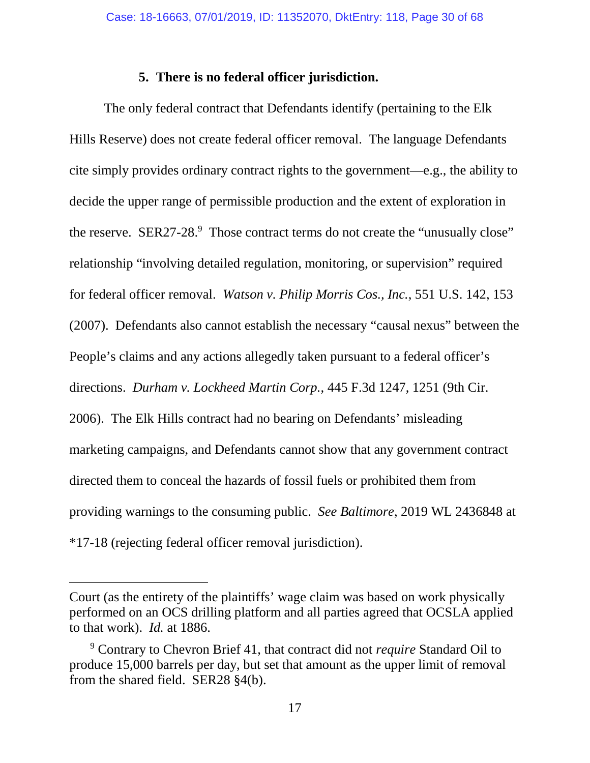### **5. There is no federal officer jurisdiction.**

The only federal contract that Defendants identify (pertaining to the Elk Hills Reserve) does not create federal officer removal. The language Defendants cite simply provides ordinary contract rights to the government—e.g., the ability to decide the upper range of permissible production and the extent of exploration in the reserve. SER27-28.<sup>9</sup> Those contract terms do not create the "unusually close" relationship "involving detailed regulation, monitoring, or supervision" required for federal officer removal. *Watson v. Philip Morris Cos., Inc.*, 551 U.S. 142, 153 (2007). Defendants also cannot establish the necessary "causal nexus" between the People's claims and any actions allegedly taken pursuant to a federal officer's directions. *Durham v. Lockheed Martin Corp.*, 445 F.3d 1247, 1251 (9th Cir. 2006). The Elk Hills contract had no bearing on Defendants' misleading marketing campaigns, and Defendants cannot show that any government contract directed them to conceal the hazards of fossil fuels or prohibited them from providing warnings to the consuming public. *See Baltimore*, 2019 WL 2436848 at \*17-18 (rejecting federal officer removal jurisdiction).

Court (as the entirety of the plaintiffs' wage claim was based on work physically performed on an OCS drilling platform and all parties agreed that OCSLA applied to that work). *Id.* at 1886.

<sup>9</sup> Contrary to Chevron Brief 41, that contract did not *require* Standard Oil to produce 15,000 barrels per day, but set that amount as the upper limit of removal from the shared field. SER28 §4(b).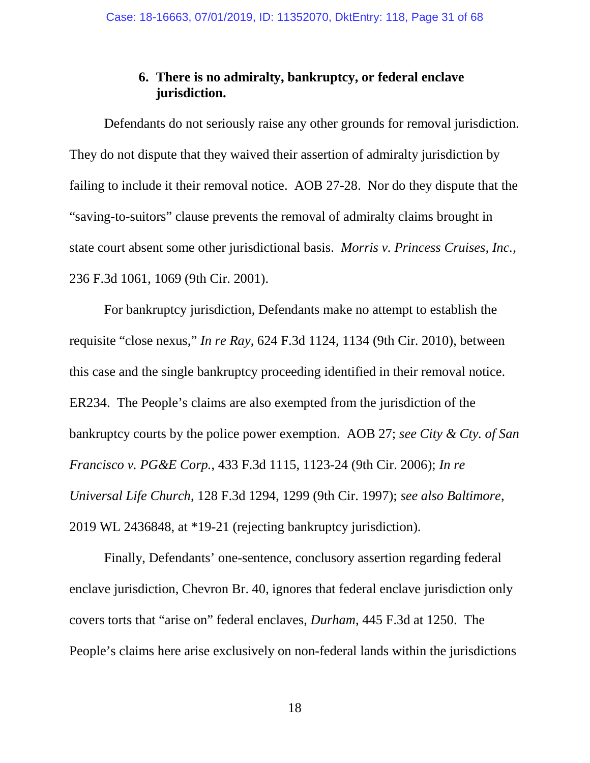### **6. There is no admiralty, bankruptcy, or federal enclave jurisdiction.**

Defendants do not seriously raise any other grounds for removal jurisdiction. They do not dispute that they waived their assertion of admiralty jurisdiction by failing to include it their removal notice. AOB 27-28. Nor do they dispute that the "saving-to-suitors" clause prevents the removal of admiralty claims brought in state court absent some other jurisdictional basis. *Morris v. Princess Cruises, Inc.*, 236 F.3d 1061, 1069 (9th Cir. 2001).

For bankruptcy jurisdiction, Defendants make no attempt to establish the requisite "close nexus," *In re Ray*, 624 F.3d 1124, 1134 (9th Cir. 2010), between this case and the single bankruptcy proceeding identified in their removal notice. ER234. The People's claims are also exempted from the jurisdiction of the bankruptcy courts by the police power exemption. AOB 27; *see City & Cty. of San Francisco v. PG&E Corp.*, 433 F.3d 1115, 1123-24 (9th Cir. 2006); *In re Universal Life Church*, 128 F.3d 1294, 1299 (9th Cir. 1997); *see also Baltimore*, 2019 WL 2436848, at \*19-21 (rejecting bankruptcy jurisdiction).

Finally, Defendants' one-sentence, conclusory assertion regarding federal enclave jurisdiction, Chevron Br. 40, ignores that federal enclave jurisdiction only covers torts that "arise on" federal enclaves, *Durham*, 445 F.3d at 1250. The People's claims here arise exclusively on non-federal lands within the jurisdictions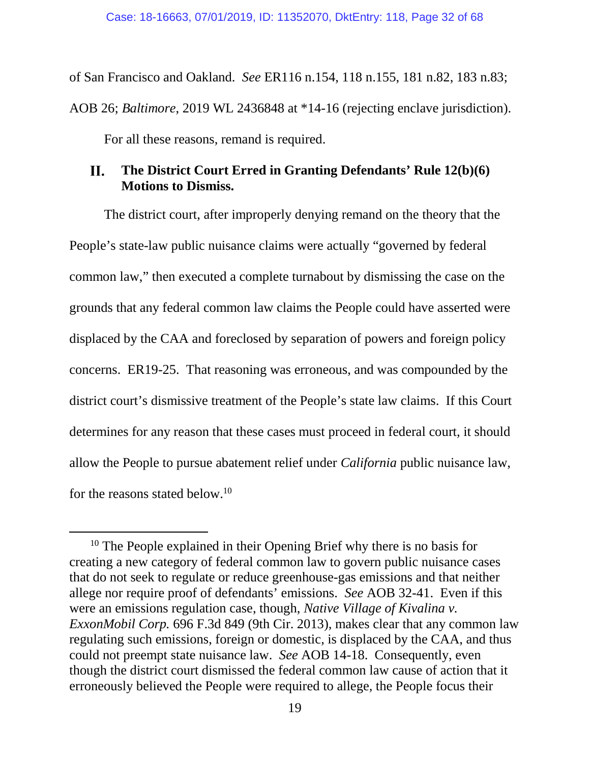of San Francisco and Oakland. *See* ER116 n.154, 118 n.155, 181 n.82, 183 n.83; AOB 26; *Baltimore*, 2019 WL 2436848 at \*14-16 (rejecting enclave jurisdiction). For all these reasons, remand is required.

#### II. **The District Court Erred in Granting Defendants' Rule 12(b)(6) Motions to Dismiss.**

The district court, after improperly denying remand on the theory that the People's state-law public nuisance claims were actually "governed by federal common law," then executed a complete turnabout by dismissing the case on the grounds that any federal common law claims the People could have asserted were displaced by the CAA and foreclosed by separation of powers and foreign policy concerns. ER19-25. That reasoning was erroneous, and was compounded by the district court's dismissive treatment of the People's state law claims. If this Court determines for any reason that these cases must proceed in federal court, it should allow the People to pursue abatement relief under *California* public nuisance law, for the reasons stated below.<sup>10</sup>

<sup>&</sup>lt;sup>10</sup> The People explained in their Opening Brief why there is no basis for creating a new category of federal common law to govern public nuisance cases that do not seek to regulate or reduce greenhouse-gas emissions and that neither allege nor require proof of defendants' emissions. *See* AOB 32-41. Even if this were an emissions regulation case, though, *Native Village of Kivalina v. ExxonMobil Corp.* 696 F.3d 849 (9th Cir. 2013), makes clear that any common law regulating such emissions, foreign or domestic, is displaced by the CAA, and thus could not preempt state nuisance law. *See* AOB 14-18. Consequently, even though the district court dismissed the federal common law cause of action that it erroneously believed the People were required to allege, the People focus their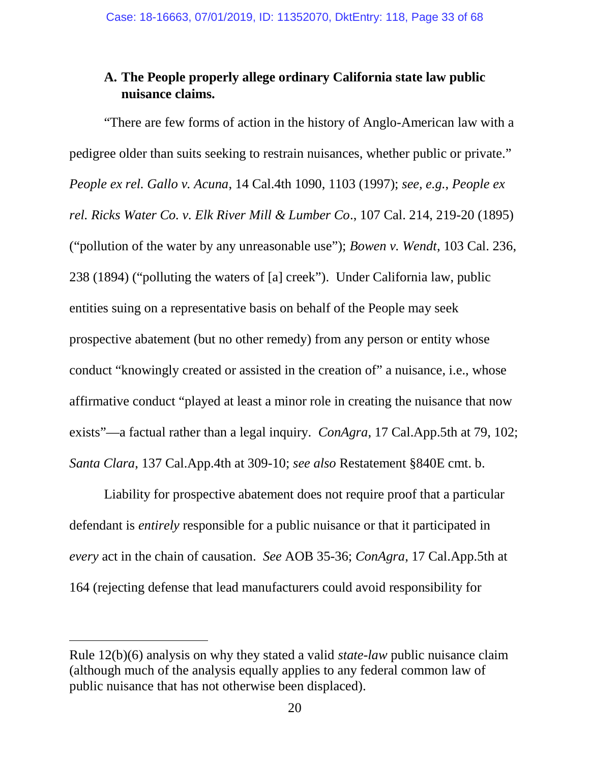### **A. The People properly allege ordinary California state law public nuisance claims.**

"There are few forms of action in the history of Anglo-American law with a pedigree older than suits seeking to restrain nuisances, whether public or private." *People ex rel. Gallo v. Acuna*, 14 Cal.4th 1090, 1103 (1997); *see, e.g.*, *People ex rel. Ricks Water Co. v. Elk River Mill & Lumber Co*., 107 Cal. 214, 219-20 (1895) ("pollution of the water by any unreasonable use"); *Bowen v. Wendt*, 103 Cal. 236, 238 (1894) ("polluting the waters of [a] creek"). Under California law, public entities suing on a representative basis on behalf of the People may seek prospective abatement (but no other remedy) from any person or entity whose conduct "knowingly created or assisted in the creation of" a nuisance, i.e., whose affirmative conduct "played at least a minor role in creating the nuisance that now exists"—a factual rather than a legal inquiry. *ConAgra*, 17 Cal.App.5th at 79, 102; *Santa Clara*, 137 Cal.App.4th at 309-10; *see also* Restatement §840E cmt. b.

Liability for prospective abatement does not require proof that a particular defendant is *entirely* responsible for a public nuisance or that it participated in *every* act in the chain of causation. *See* AOB 35-36; *ConAgra*, 17 Cal.App.5th at 164 (rejecting defense that lead manufacturers could avoid responsibility for

Rule 12(b)(6) analysis on why they stated a valid *state-law* public nuisance claim (although much of the analysis equally applies to any federal common law of public nuisance that has not otherwise been displaced).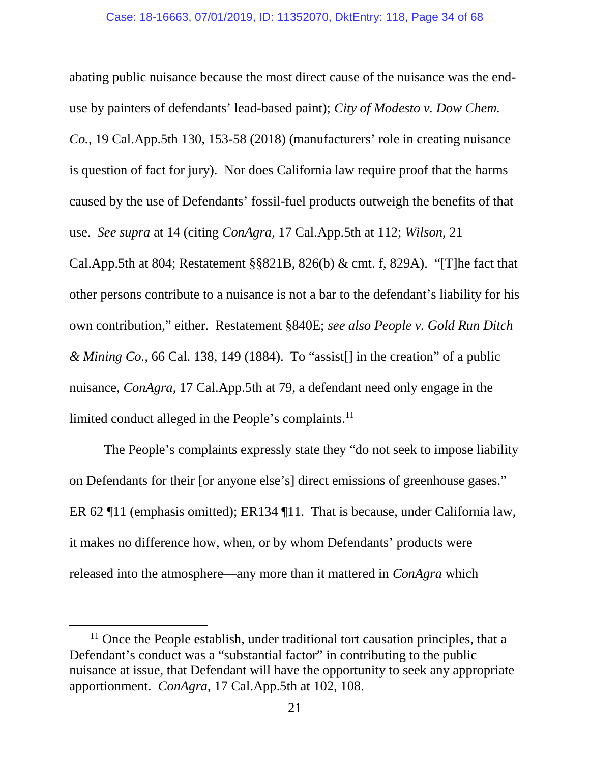abating public nuisance because the most direct cause of the nuisance was the enduse by painters of defendants' lead-based paint); *City of Modesto v. Dow Chem. Co.*, 19 Cal.App.5th 130, 153-58 (2018) (manufacturers' role in creating nuisance is question of fact for jury). Nor does California law require proof that the harms caused by the use of Defendants' fossil-fuel products outweigh the benefits of that use. *See supra* at 14 (citing *ConAgra*, 17 Cal.App.5th at 112; *Wilson*, 21 Cal.App.5th at 804; Restatement §§821B, 826(b) & cmt. f, 829A). "[T]he fact that other persons contribute to a nuisance is not a bar to the defendant's liability for his own contribution," either. Restatement §840E; *see also People v. Gold Run Ditch & Mining Co.*, 66 Cal. 138, 149 (1884). To "assist[] in the creation" of a public nuisance, *ConAgra*, 17 Cal.App.5th at 79, a defendant need only engage in the limited conduct alleged in the People's complaints.<sup>11</sup>

The People's complaints expressly state they "do not seek to impose liability on Defendants for their [or anyone else's] direct emissions of greenhouse gases." ER 62 ¶11 (emphasis omitted); ER134 ¶11. That is because, under California law, it makes no difference how, when, or by whom Defendants' products were released into the atmosphere—any more than it mattered in *ConAgra* which

<sup>&</sup>lt;sup>11</sup> Once the People establish, under traditional tort causation principles, that a Defendant's conduct was a "substantial factor" in contributing to the public nuisance at issue, that Defendant will have the opportunity to seek any appropriate apportionment. *ConAgra*, 17 Cal.App.5th at 102, 108.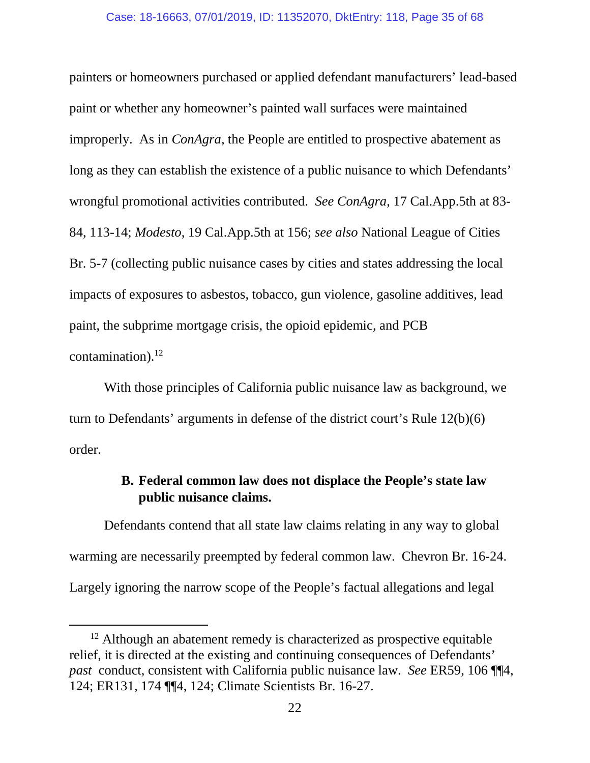painters or homeowners purchased or applied defendant manufacturers' lead-based paint or whether any homeowner's painted wall surfaces were maintained improperly. As in *ConAgra*, the People are entitled to prospective abatement as long as they can establish the existence of a public nuisance to which Defendants' wrongful promotional activities contributed. *See ConAgra*, 17 Cal.App.5th at 83- 84, 113-14; *Modesto*, 19 Cal.App.5th at 156; *see also* National League of Cities Br. 5-7 (collecting public nuisance cases by cities and states addressing the local impacts of exposures to asbestos, tobacco, gun violence, gasoline additives, lead paint, the subprime mortgage crisis, the opioid epidemic, and PCB contamination). $^{12}$ 

With those principles of California public nuisance law as background, we turn to Defendants' arguments in defense of the district court's Rule 12(b)(6) order.

### **B. Federal common law does not displace the People's state law public nuisance claims.**

Defendants contend that all state law claims relating in any way to global warming are necessarily preempted by federal common law. Chevron Br. 16-24. Largely ignoring the narrow scope of the People's factual allegations and legal

 $12$  Although an abatement remedy is characterized as prospective equitable relief, it is directed at the existing and continuing consequences of Defendants' *past* conduct, consistent with California public nuisance law. *See* ER59, 106 ¶¶4, 124; ER131, 174 ¶¶4, 124; Climate Scientists Br. 16-27.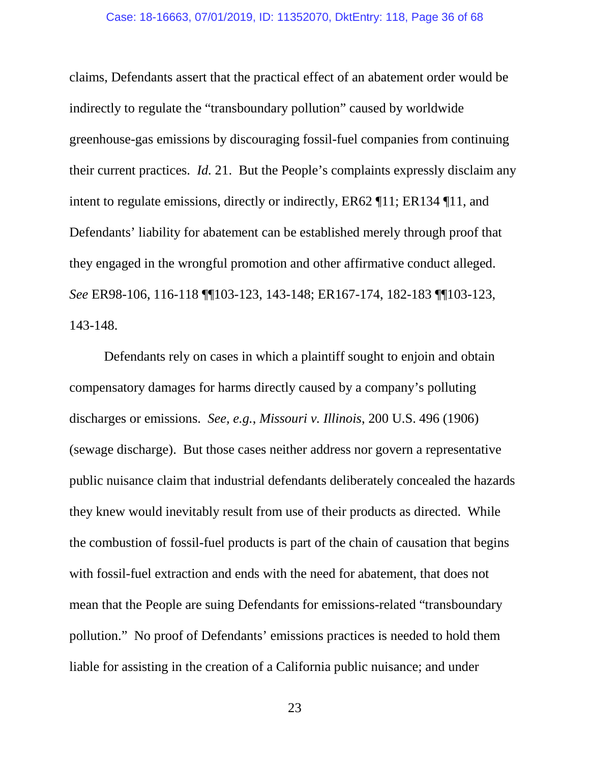#### Case: 18-16663, 07/01/2019, ID: 11352070, DktEntry: 118, Page 36 of 68

claims, Defendants assert that the practical effect of an abatement order would be indirectly to regulate the "transboundary pollution" caused by worldwide greenhouse-gas emissions by discouraging fossil-fuel companies from continuing their current practices. *Id.* 21. But the People's complaints expressly disclaim any intent to regulate emissions, directly or indirectly, ER62 ¶11; ER134 ¶11, and Defendants' liability for abatement can be established merely through proof that they engaged in the wrongful promotion and other affirmative conduct alleged. *See* ER98-106, 116-118 ¶¶103-123, 143-148; ER167-174, 182-183 ¶¶103-123, 143-148.

Defendants rely on cases in which a plaintiff sought to enjoin and obtain compensatory damages for harms directly caused by a company's polluting discharges or emissions. *See, e.g.*, *Missouri v. Illinois*, 200 U.S. 496 (1906) (sewage discharge). But those cases neither address nor govern a representative public nuisance claim that industrial defendants deliberately concealed the hazards they knew would inevitably result from use of their products as directed. While the combustion of fossil-fuel products is part of the chain of causation that begins with fossil-fuel extraction and ends with the need for abatement, that does not mean that the People are suing Defendants for emissions-related "transboundary pollution." No proof of Defendants' emissions practices is needed to hold them liable for assisting in the creation of a California public nuisance; and under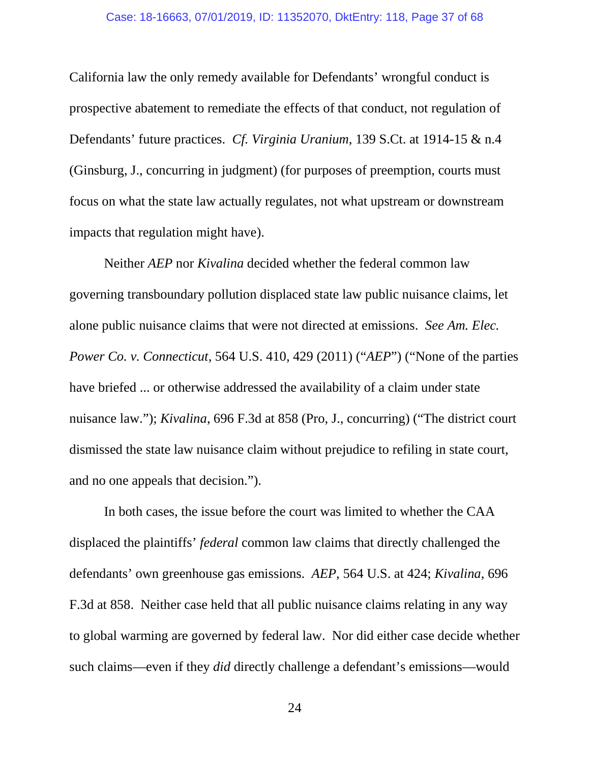#### Case: 18-16663, 07/01/2019, ID: 11352070, DktEntry: 118, Page 37 of 68

California law the only remedy available for Defendants' wrongful conduct is prospective abatement to remediate the effects of that conduct, not regulation of Defendants' future practices. *Cf. Virginia Uranium*, 139 S.Ct. at 1914-15 & n.4 (Ginsburg, J., concurring in judgment) (for purposes of preemption, courts must focus on what the state law actually regulates, not what upstream or downstream impacts that regulation might have).

Neither *AEP* nor *Kivalina* decided whether the federal common law governing transboundary pollution displaced state law public nuisance claims, let alone public nuisance claims that were not directed at emissions. *See Am. Elec. Power Co. v. Connecticut*, 564 U.S. 410, 429 (2011) ("*AEP*") ("None of the parties have briefed ... or otherwise addressed the availability of a claim under state nuisance law."); *Kivalina*, 696 F.3d at 858 (Pro, J., concurring) ("The district court dismissed the state law nuisance claim without prejudice to refiling in state court, and no one appeals that decision.").

In both cases, the issue before the court was limited to whether the CAA displaced the plaintiffs' *federal* common law claims that directly challenged the defendants' own greenhouse gas emissions. *AEP*, 564 U.S. at 424; *Kivalina*, 696 F.3d at 858. Neither case held that all public nuisance claims relating in any way to global warming are governed by federal law. Nor did either case decide whether such claims—even if they *did* directly challenge a defendant's emissions—would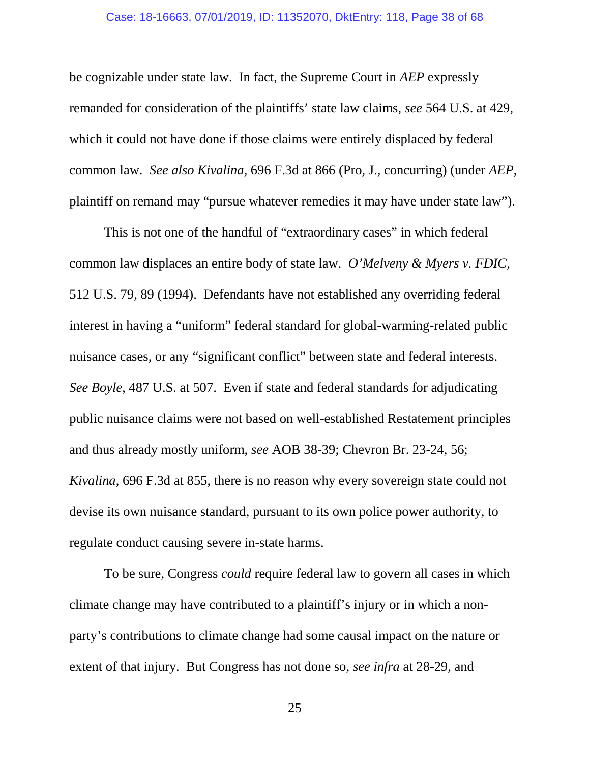#### Case: 18-16663, 07/01/2019, ID: 11352070, DktEntry: 118, Page 38 of 68

be cognizable under state law. In fact, the Supreme Court in *AEP* expressly remanded for consideration of the plaintiffs' state law claims, *see* 564 U.S. at 429, which it could not have done if those claims were entirely displaced by federal common law. *See also Kivalina*, 696 F.3d at 866 (Pro, J., concurring) (under *AEP*, plaintiff on remand may "pursue whatever remedies it may have under state law").

This is not one of the handful of "extraordinary cases" in which federal common law displaces an entire body of state law. *O'Melveny & Myers v. FDIC*, 512 U.S. 79, 89 (1994). Defendants have not established any overriding federal interest in having a "uniform" federal standard for global-warming-related public nuisance cases, or any "significant conflict" between state and federal interests. *See Boyle*, 487 U.S. at 507. Even if state and federal standards for adjudicating public nuisance claims were not based on well-established Restatement principles and thus already mostly uniform, *see* AOB 38-39; Chevron Br. 23-24, 56; *Kivalina*, 696 F.3d at 855, there is no reason why every sovereign state could not devise its own nuisance standard, pursuant to its own police power authority, to regulate conduct causing severe in-state harms.

To be sure, Congress *could* require federal law to govern all cases in which climate change may have contributed to a plaintiff's injury or in which a nonparty's contributions to climate change had some causal impact on the nature or extent of that injury. But Congress has not done so, *see infra* at 28-29, and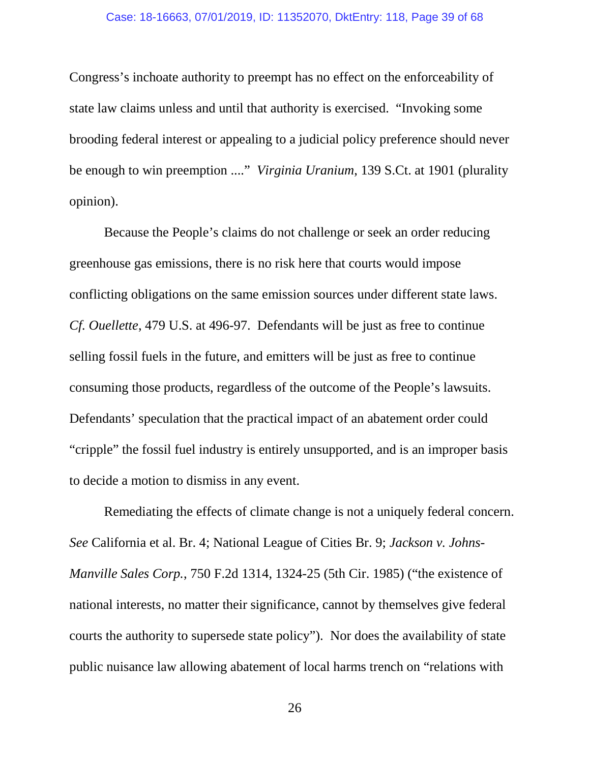Congress's inchoate authority to preempt has no effect on the enforceability of state law claims unless and until that authority is exercised. "Invoking some brooding federal interest or appealing to a judicial policy preference should never be enough to win preemption ...." *Virginia Uranium*, 139 S.Ct. at 1901 (plurality opinion).

Because the People's claims do not challenge or seek an order reducing greenhouse gas emissions, there is no risk here that courts would impose conflicting obligations on the same emission sources under different state laws. *Cf. Ouellette*, 479 U.S. at 496-97. Defendants will be just as free to continue selling fossil fuels in the future, and emitters will be just as free to continue consuming those products, regardless of the outcome of the People's lawsuits. Defendants' speculation that the practical impact of an abatement order could "cripple" the fossil fuel industry is entirely unsupported, and is an improper basis to decide a motion to dismiss in any event.

Remediating the effects of climate change is not a uniquely federal concern. *See* California et al. Br. 4; National League of Cities Br. 9; *Jackson v. Johns-Manville Sales Corp.*, 750 F.2d 1314, 1324-25 (5th Cir. 1985) ("the existence of national interests, no matter their significance, cannot by themselves give federal courts the authority to supersede state policy"). Nor does the availability of state public nuisance law allowing abatement of local harms trench on "relations with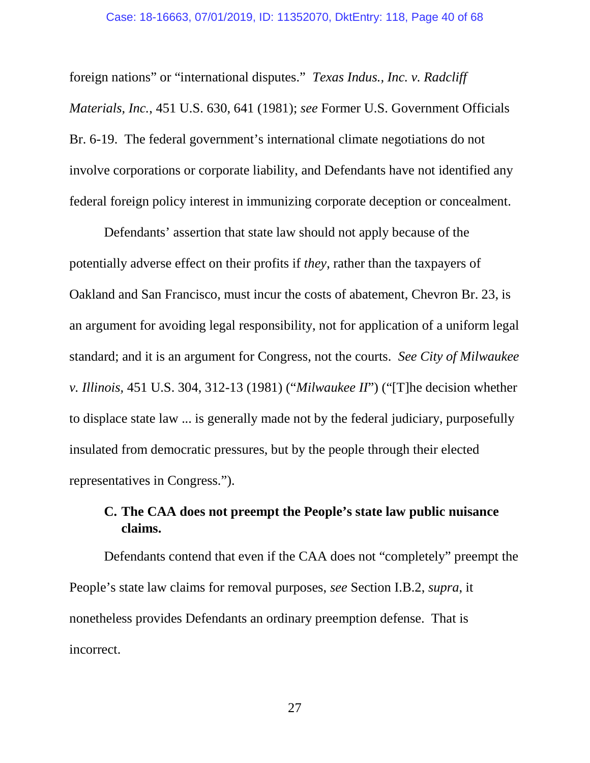foreign nations" or "international disputes." *Texas Indus., Inc. v. Radcliff Materials, Inc.*, 451 U.S. 630, 641 (1981); *see* Former U.S. Government Officials Br. 6-19. The federal government's international climate negotiations do not involve corporations or corporate liability, and Defendants have not identified any federal foreign policy interest in immunizing corporate deception or concealment.

Defendants' assertion that state law should not apply because of the potentially adverse effect on their profits if *they*, rather than the taxpayers of Oakland and San Francisco, must incur the costs of abatement, Chevron Br. 23, is an argument for avoiding legal responsibility, not for application of a uniform legal standard; and it is an argument for Congress, not the courts. *See City of Milwaukee v. Illinois,* 451 U.S. 304, 312-13 (1981) ("*Milwaukee II*") ("[T]he decision whether to displace state law ... is generally made not by the federal judiciary, purposefully insulated from democratic pressures, but by the people through their elected representatives in Congress.").

## **C. The CAA does not preempt the People's state law public nuisance claims.**

Defendants contend that even if the CAA does not "completely" preempt the People's state law claims for removal purposes, *see* Section I.B.2, *supra*, it nonetheless provides Defendants an ordinary preemption defense. That is incorrect.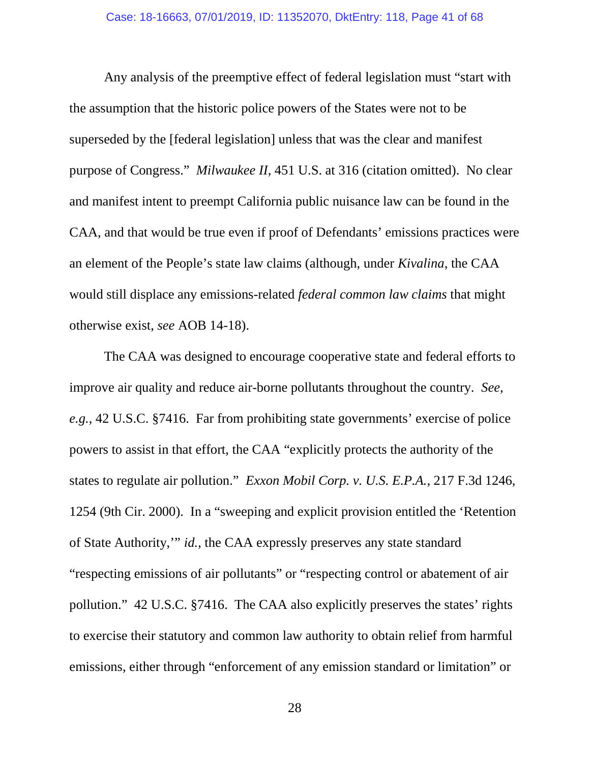Any analysis of the preemptive effect of federal legislation must "start with the assumption that the historic police powers of the States were not to be superseded by the [federal legislation] unless that was the clear and manifest purpose of Congress." *Milwaukee II*, 451 U.S. at 316 (citation omitted). No clear and manifest intent to preempt California public nuisance law can be found in the CAA, and that would be true even if proof of Defendants' emissions practices were an element of the People's state law claims (although, under *Kivalina*, the CAA would still displace any emissions-related *federal common law claims* that might otherwise exist, *see* AOB 14-18).

The CAA was designed to encourage cooperative state and federal efforts to improve air quality and reduce air-borne pollutants throughout the country. *See, e.g.*, 42 U.S.C. §7416. Far from prohibiting state governments' exercise of police powers to assist in that effort, the CAA "explicitly protects the authority of the states to regulate air pollution." *Exxon Mobil Corp. v. U.S. E.P.A.*, 217 F.3d 1246, 1254 (9th Cir. 2000). In a "sweeping and explicit provision entitled the 'Retention of State Authority,'" *id.*, the CAA expressly preserves any state standard "respecting emissions of air pollutants" or "respecting control or abatement of air pollution." 42 U.S.C. §7416. The CAA also explicitly preserves the states' rights to exercise their statutory and common law authority to obtain relief from harmful emissions, either through "enforcement of any emission standard or limitation" or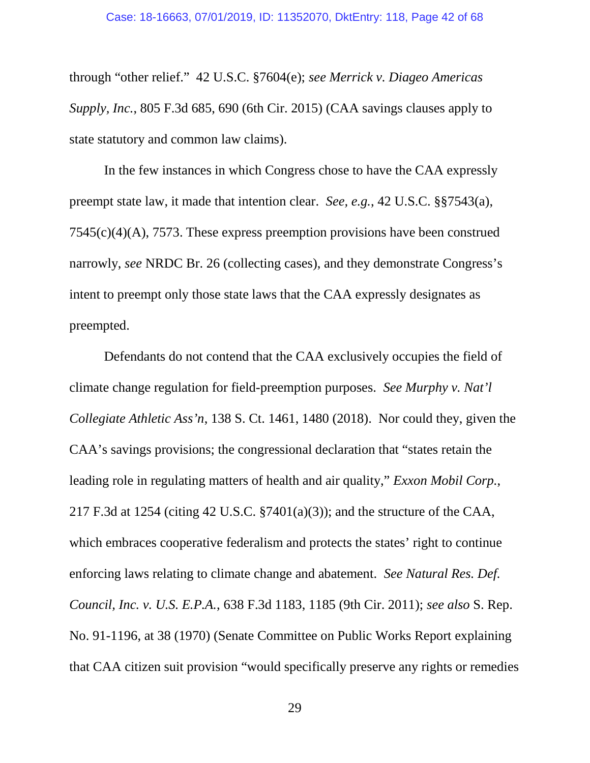through "other relief." 42 U.S.C. §7604(e); *see Merrick v. Diageo Americas Supply, Inc.*, 805 F.3d 685, 690 (6th Cir. 2015) (CAA savings clauses apply to state statutory and common law claims).

In the few instances in which Congress chose to have the CAA expressly preempt state law, it made that intention clear. *See, e.g.*, 42 U.S.C. §§7543(a), 7545(c)(4)(A), 7573. These express preemption provisions have been construed narrowly, *see* NRDC Br. 26 (collecting cases), and they demonstrate Congress's intent to preempt only those state laws that the CAA expressly designates as preempted.

Defendants do not contend that the CAA exclusively occupies the field of climate change regulation for field-preemption purposes. *See Murphy v. Nat'l Collegiate Athletic Ass'n*, 138 S. Ct. 1461, 1480 (2018). Nor could they, given the CAA's savings provisions; the congressional declaration that "states retain the leading role in regulating matters of health and air quality," *Exxon Mobil Corp.*, 217 F.3d at 1254 (citing 42 U.S.C. §7401(a)(3)); and the structure of the CAA, which embraces cooperative federalism and protects the states' right to continue enforcing laws relating to climate change and abatement. *See Natural Res. Def. Council, Inc. v. U.S. E.P.A.*, 638 F.3d 1183, 1185 (9th Cir. 2011); *see also* S. Rep. No. 91-1196, at 38 (1970) (Senate Committee on Public Works Report explaining that CAA citizen suit provision "would specifically preserve any rights or remedies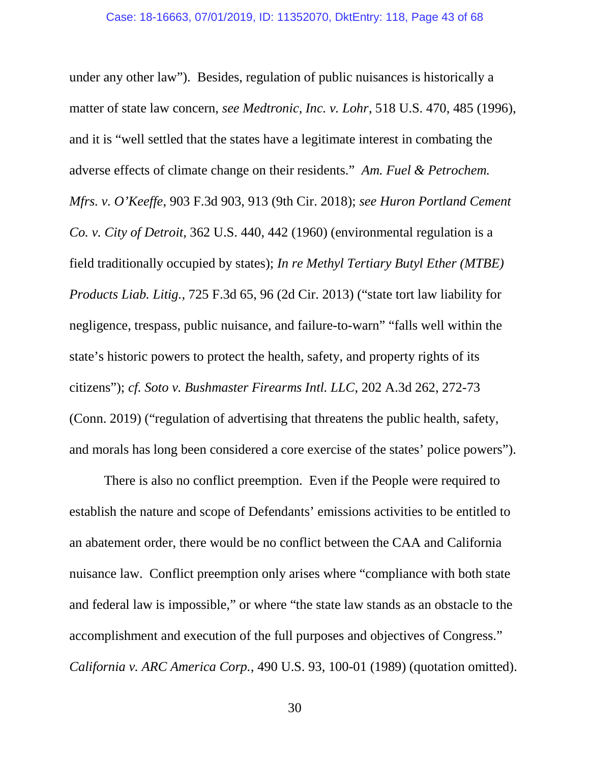under any other law"). Besides, regulation of public nuisances is historically a matter of state law concern, *see Medtronic, Inc. v. Lohr*, 518 U.S. 470, 485 (1996), and it is "well settled that the states have a legitimate interest in combating the adverse effects of climate change on their residents." *Am. Fuel & Petrochem. Mfrs. v. O'Keeffe*, 903 F.3d 903, 913 (9th Cir. 2018); *see Huron Portland Cement Co. v. City of Detroit*, 362 U.S. 440, 442 (1960) (environmental regulation is a field traditionally occupied by states); *In re Methyl Tertiary Butyl Ether (MTBE) Products Liab. Litig.*, 725 F.3d 65, 96 (2d Cir. 2013) ("state tort law liability for negligence, trespass, public nuisance, and failure-to-warn" "falls well within the state's historic powers to protect the health, safety, and property rights of its citizens"); *cf. Soto v. Bushmaster Firearms Intl. LLC*, 202 A.3d 262, 272-73 (Conn. 2019) ("regulation of advertising that threatens the public health, safety, and morals has long been considered a core exercise of the states' police powers").

There is also no conflict preemption. Even if the People were required to establish the nature and scope of Defendants' emissions activities to be entitled to an abatement order, there would be no conflict between the CAA and California nuisance law. Conflict preemption only arises where "compliance with both state and federal law is impossible," or where "the state law stands as an obstacle to the accomplishment and execution of the full purposes and objectives of Congress." *California v. ARC America Corp.*, 490 U.S. 93, 100-01 (1989) (quotation omitted).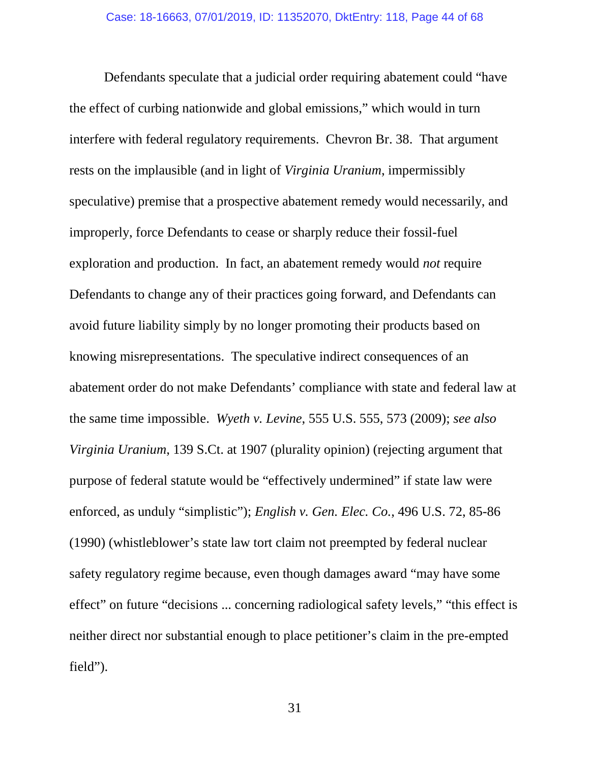Defendants speculate that a judicial order requiring abatement could "have the effect of curbing nationwide and global emissions," which would in turn interfere with federal regulatory requirements. Chevron Br. 38. That argument rests on the implausible (and in light of *Virginia Uranium*, impermissibly speculative) premise that a prospective abatement remedy would necessarily, and improperly, force Defendants to cease or sharply reduce their fossil-fuel exploration and production. In fact, an abatement remedy would *not* require Defendants to change any of their practices going forward, and Defendants can avoid future liability simply by no longer promoting their products based on knowing misrepresentations. The speculative indirect consequences of an abatement order do not make Defendants' compliance with state and federal law at the same time impossible. *Wyeth v. Levine*, 555 U.S. 555, 573 (2009); *see also Virginia Uranium*, 139 S.Ct. at 1907 (plurality opinion) (rejecting argument that purpose of federal statute would be "effectively undermined" if state law were enforced, as unduly "simplistic"); *English v. Gen. Elec. Co.*, 496 U.S. 72, 85-86 (1990) (whistleblower's state law tort claim not preempted by federal nuclear safety regulatory regime because, even though damages award "may have some effect" on future "decisions ... concerning radiological safety levels," "this effect is neither direct nor substantial enough to place petitioner's claim in the pre-empted field").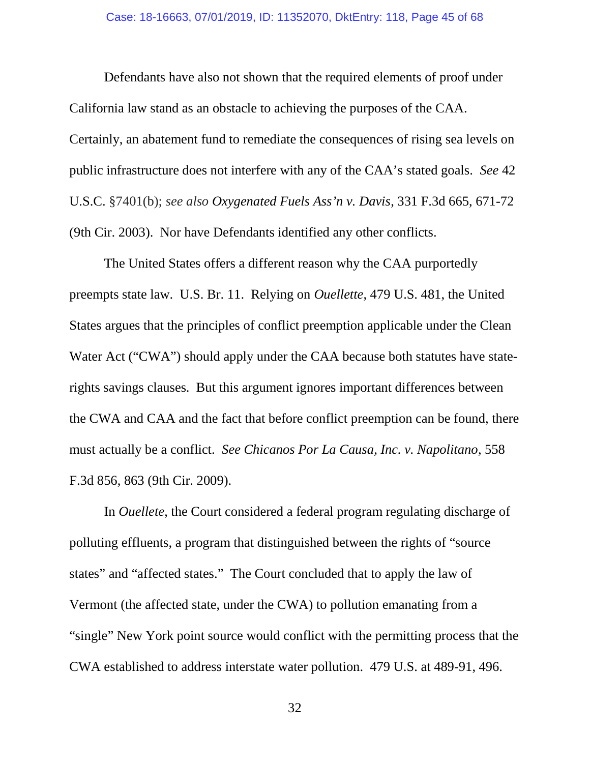Defendants have also not shown that the required elements of proof under California law stand as an obstacle to achieving the purposes of the CAA. Certainly, an abatement fund to remediate the consequences of rising sea levels on public infrastructure does not interfere with any of the CAA's stated goals. *See* 42 U.S.C. §7401(b); *see also Oxygenated Fuels Ass'n v. Davis*, 331 F.3d 665, 671-72 (9th Cir. 2003). Nor have Defendants identified any other conflicts.

The United States offers a different reason why the CAA purportedly preempts state law. U.S. Br. 11. Relying on *Ouellette*, 479 U.S. 481, the United States argues that the principles of conflict preemption applicable under the Clean Water Act ("CWA") should apply under the CAA because both statutes have staterights savings clauses. But this argument ignores important differences between the CWA and CAA and the fact that before conflict preemption can be found, there must actually be a conflict. *See Chicanos Por La Causa, Inc. v. Napolitano*, 558 F.3d 856, 863 (9th Cir. 2009).

In *Ouellete*, the Court considered a federal program regulating discharge of polluting effluents, a program that distinguished between the rights of "source states" and "affected states." The Court concluded that to apply the law of Vermont (the affected state, under the CWA) to pollution emanating from a "single" New York point source would conflict with the permitting process that the CWA established to address interstate water pollution. 479 U.S. at 489-91, 496.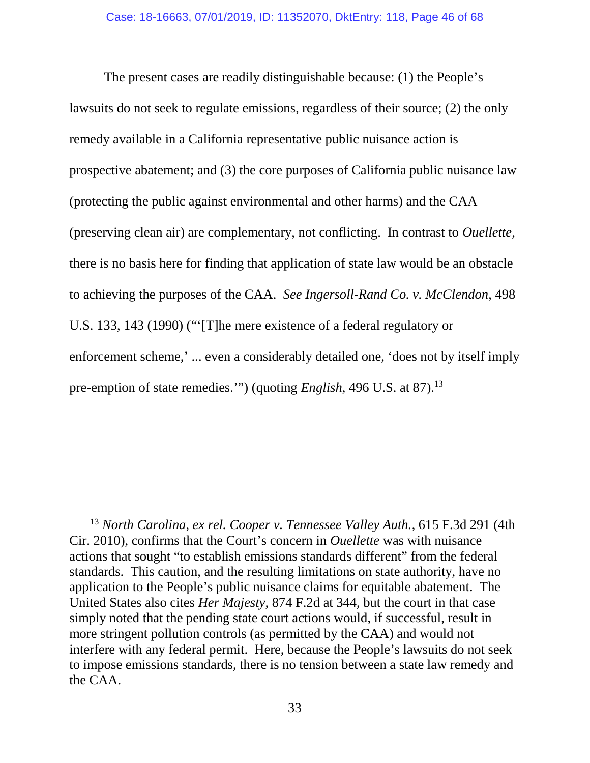The present cases are readily distinguishable because: (1) the People's lawsuits do not seek to regulate emissions, regardless of their source; (2) the only remedy available in a California representative public nuisance action is prospective abatement; and (3) the core purposes of California public nuisance law (protecting the public against environmental and other harms) and the CAA (preserving clean air) are complementary, not conflicting. In contrast to *Ouellette*, there is no basis here for finding that application of state law would be an obstacle to achieving the purposes of the CAA. *See Ingersoll-Rand Co. v. McClendon*, 498 U.S. 133, 143 (1990) ("'[T]he mere existence of a federal regulatory or enforcement scheme,' ... even a considerably detailed one, 'does not by itself imply pre-emption of state remedies.") (quoting *English*, 496 U.S. at 87).<sup>13</sup>

<sup>13</sup> *North Carolina, ex rel. Cooper v. Tennessee Valley Auth.*, 615 F.3d 291 (4th Cir. 2010), confirms that the Court's concern in *Ouellette* was with nuisance actions that sought "to establish emissions standards different" from the federal standards. This caution, and the resulting limitations on state authority, have no application to the People's public nuisance claims for equitable abatement. The United States also cites *Her Majesty*, 874 F.2d at 344, but the court in that case simply noted that the pending state court actions would, if successful, result in more stringent pollution controls (as permitted by the CAA) and would not interfere with any federal permit. Here, because the People's lawsuits do not seek to impose emissions standards, there is no tension between a state law remedy and the CAA.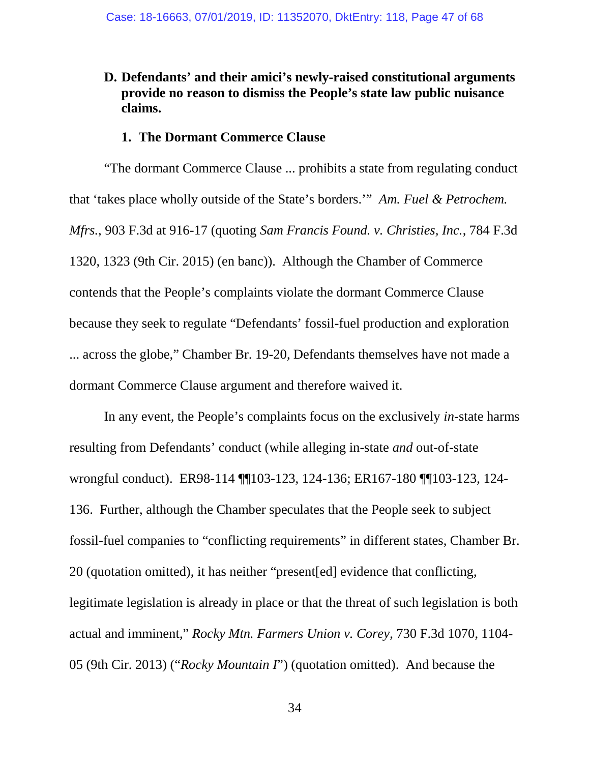### **D. Defendants' and their amici's newly-raised constitutional arguments provide no reason to dismiss the People's state law public nuisance claims.**

#### **1. The Dormant Commerce Clause**

"The dormant Commerce Clause ... prohibits a state from regulating conduct that 'takes place wholly outside of the State's borders.'" *Am. Fuel & Petrochem. Mfrs.*, 903 F.3d at 916-17 (quoting *Sam Francis Found. v. Christies, Inc.*, 784 F.3d 1320, 1323 (9th Cir. 2015) (en banc)). Although the Chamber of Commerce contends that the People's complaints violate the dormant Commerce Clause because they seek to regulate "Defendants' fossil-fuel production and exploration ... across the globe," Chamber Br. 19-20, Defendants themselves have not made a dormant Commerce Clause argument and therefore waived it.

In any event, the People's complaints focus on the exclusively *in*-state harms resulting from Defendants' conduct (while alleging in-state *and* out-of-state wrongful conduct). ER98-114 ¶¶103-123, 124-136; ER167-180 ¶¶103-123, 124- 136. Further, although the Chamber speculates that the People seek to subject fossil-fuel companies to "conflicting requirements" in different states, Chamber Br. 20 (quotation omitted), it has neither "present[ed] evidence that conflicting, legitimate legislation is already in place or that the threat of such legislation is both actual and imminent," *Rocky Mtn. Farmers Union v. Corey*, 730 F.3d 1070, 1104- 05 (9th Cir. 2013) ("*Rocky Mountain I*") (quotation omitted). And because the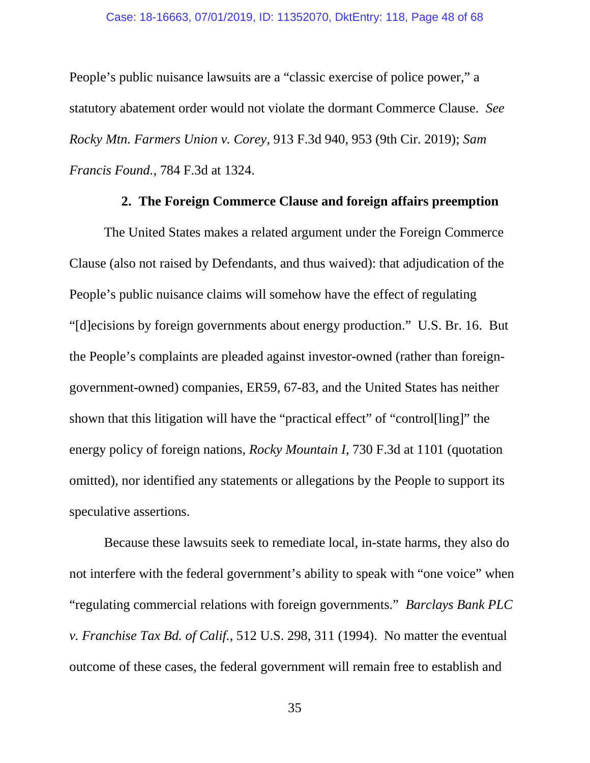#### Case: 18-16663, 07/01/2019, ID: 11352070, DktEntry: 118, Page 48 of 68

People's public nuisance lawsuits are a "classic exercise of police power," a statutory abatement order would not violate the dormant Commerce Clause. *See Rocky Mtn. Farmers Union v. Corey*, 913 F.3d 940, 953 (9th Cir. 2019); *Sam Francis Found.*, 784 F.3d at 1324.

#### **2. The Foreign Commerce Clause and foreign affairs preemption**

The United States makes a related argument under the Foreign Commerce Clause (also not raised by Defendants, and thus waived): that adjudication of the People's public nuisance claims will somehow have the effect of regulating "[d]ecisions by foreign governments about energy production." U.S. Br. 16. But the People's complaints are pleaded against investor-owned (rather than foreigngovernment-owned) companies, ER59, 67-83, and the United States has neither shown that this litigation will have the "practical effect" of "control[ling]" the energy policy of foreign nations, *Rocky Mountain I*, 730 F.3d at 1101 (quotation omitted), nor identified any statements or allegations by the People to support its speculative assertions.

Because these lawsuits seek to remediate local, in-state harms, they also do not interfere with the federal government's ability to speak with "one voice" when "regulating commercial relations with foreign governments." *Barclays Bank PLC v. Franchise Tax Bd. of Calif.*, 512 U.S. 298, 311 (1994). No matter the eventual outcome of these cases, the federal government will remain free to establish and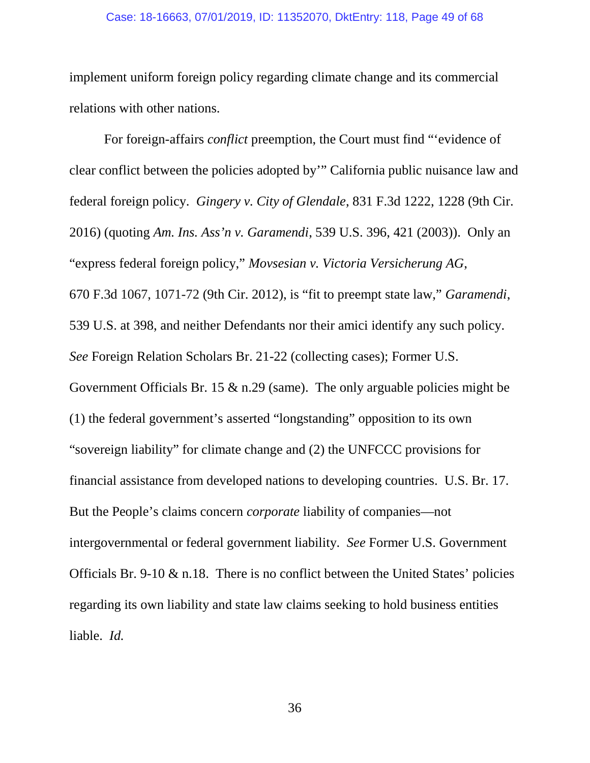#### Case: 18-16663, 07/01/2019, ID: 11352070, DktEntry: 118, Page 49 of 68

implement uniform foreign policy regarding climate change and its commercial relations with other nations.

For foreign-affairs *conflict* preemption, the Court must find "'evidence of clear conflict between the policies adopted by'" California public nuisance law and federal foreign policy. *Gingery v. City of Glendale*, 831 F.3d 1222, 1228 (9th Cir. 2016) (quoting *Am. Ins. Ass'n v. Garamendi*, 539 U.S. 396, 421 (2003)). Only an "express federal foreign policy," *Movsesian v. Victoria Versicherung AG*, 670 F.3d 1067, 1071-72 (9th Cir. 2012), is "fit to preempt state law," *Garamendi*, 539 U.S. at 398, and neither Defendants nor their amici identify any such policy. *See* Foreign Relation Scholars Br. 21-22 (collecting cases); Former U.S. Government Officials Br. 15  $\&$  n.29 (same). The only arguable policies might be (1) the federal government's asserted "longstanding" opposition to its own "sovereign liability" for climate change and (2) the UNFCCC provisions for financial assistance from developed nations to developing countries. U.S. Br. 17. But the People's claims concern *corporate* liability of companies—not intergovernmental or federal government liability. *See* Former U.S. Government Officials Br. 9-10  $\&$  n.18. There is no conflict between the United States' policies regarding its own liability and state law claims seeking to hold business entities liable. *Id.*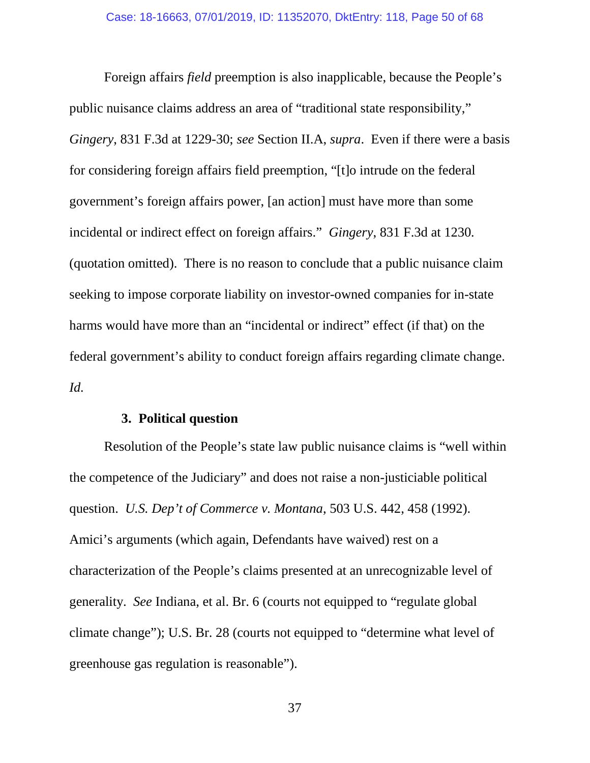Foreign affairs *field* preemption is also inapplicable, because the People's public nuisance claims address an area of "traditional state responsibility," *Gingery*, 831 F.3d at 1229-30; *see* Section II.A, *supra*. Even if there were a basis for considering foreign affairs field preemption, "[t]o intrude on the federal government's foreign affairs power, [an action] must have more than some incidental or indirect effect on foreign affairs." *Gingery*, 831 F.3d at 1230*.* (quotation omitted). There is no reason to conclude that a public nuisance claim seeking to impose corporate liability on investor-owned companies for in-state harms would have more than an "incidental or indirect" effect (if that) on the federal government's ability to conduct foreign affairs regarding climate change. *Id.*

#### **3. Political question**

Resolution of the People's state law public nuisance claims is "well within the competence of the Judiciary" and does not raise a non-justiciable political question. *U.S. Dep't of Commerce v. Montana*, 503 U.S. 442, 458 (1992). Amici's arguments (which again, Defendants have waived) rest on a characterization of the People's claims presented at an unrecognizable level of generality. *See* Indiana, et al. Br. 6 (courts not equipped to "regulate global climate change"); U.S. Br. 28 (courts not equipped to "determine what level of greenhouse gas regulation is reasonable").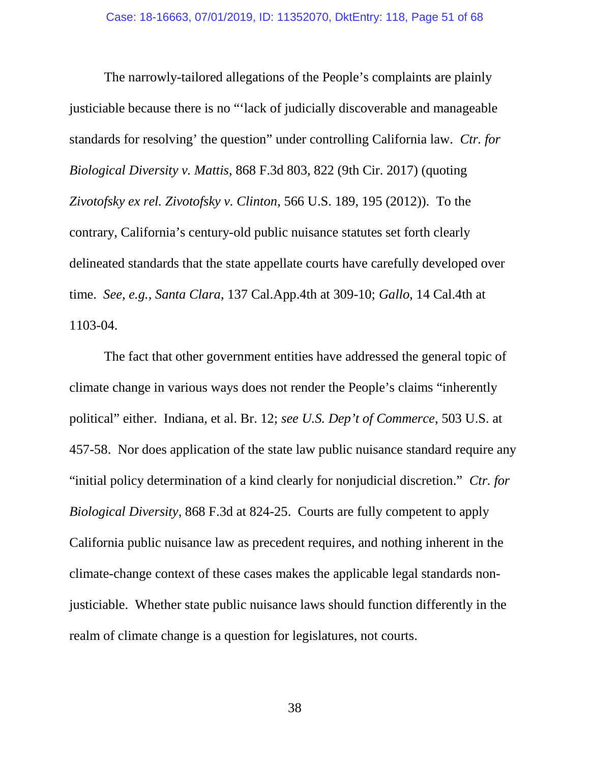The narrowly-tailored allegations of the People's complaints are plainly justiciable because there is no "'lack of judicially discoverable and manageable standards for resolving' the question" under controlling California law. *Ctr. for Biological Diversity v. Mattis*, 868 F.3d 803, 822 (9th Cir. 2017) (quoting *Zivotofsky ex rel. Zivotofsky v. Clinton*, 566 U.S. 189, 195 (2012)). To the contrary, California's century-old public nuisance statutes set forth clearly delineated standards that the state appellate courts have carefully developed over time. *See, e.g.*, *Santa Clara*, 137 Cal.App.4th at 309-10; *Gallo*, 14 Cal.4th at 1103-04.

The fact that other government entities have addressed the general topic of climate change in various ways does not render the People's claims "inherently political" either. Indiana, et al. Br. 12; *see U.S. Dep't of Commerce*, 503 U.S. at 457-58. Nor does application of the state law public nuisance standard require any "initial policy determination of a kind clearly for nonjudicial discretion." *Ctr. for Biological Diversity*, 868 F.3d at 824-25. Courts are fully competent to apply California public nuisance law as precedent requires, and nothing inherent in the climate-change context of these cases makes the applicable legal standards nonjusticiable. Whether state public nuisance laws should function differently in the realm of climate change is a question for legislatures, not courts.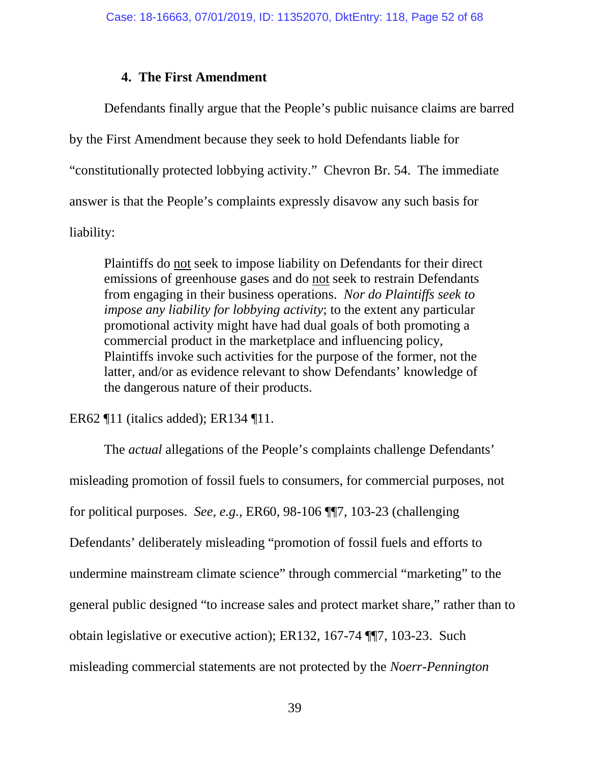### **4. The First Amendment**

Defendants finally argue that the People's public nuisance claims are barred by the First Amendment because they seek to hold Defendants liable for "constitutionally protected lobbying activity." Chevron Br. 54. The immediate answer is that the People's complaints expressly disavow any such basis for liability:

Plaintiffs do not seek to impose liability on Defendants for their direct emissions of greenhouse gases and do not seek to restrain Defendants from engaging in their business operations. *Nor do Plaintiffs seek to impose any liability for lobbying activity*; to the extent any particular promotional activity might have had dual goals of both promoting a commercial product in the marketplace and influencing policy, Plaintiffs invoke such activities for the purpose of the former, not the latter, and/or as evidence relevant to show Defendants' knowledge of the dangerous nature of their products.

ER62 ¶11 (italics added); ER134 ¶11.

The *actual* allegations of the People's complaints challenge Defendants' misleading promotion of fossil fuels to consumers, for commercial purposes, not for political purposes. *See, e.g.*, ER60, 98-106 ¶¶7, 103-23 (challenging Defendants' deliberately misleading "promotion of fossil fuels and efforts to undermine mainstream climate science" through commercial "marketing" to the general public designed "to increase sales and protect market share," rather than to obtain legislative or executive action); ER132, 167-74 ¶¶7, 103-23. Such misleading commercial statements are not protected by the *Noerr-Pennington*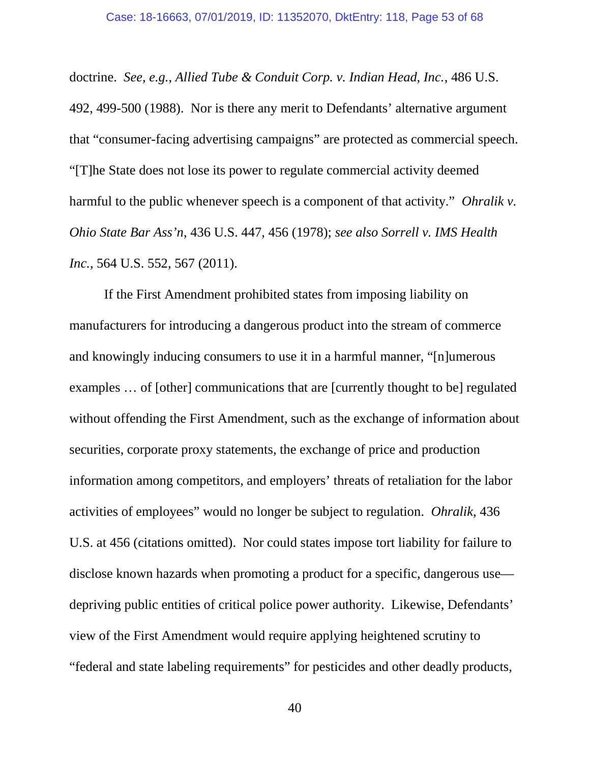doctrine. *See, e.g.*, *Allied Tube & Conduit Corp. v. Indian Head, Inc.*, 486 U.S. 492, 499-500 (1988). Nor is there any merit to Defendants' alternative argument that "consumer-facing advertising campaigns" are protected as commercial speech. "[T]he State does not lose its power to regulate commercial activity deemed harmful to the public whenever speech is a component of that activity." *Ohralik v. Ohio State Bar Ass'n*, 436 U.S. 447, 456 (1978); *see also Sorrell v. IMS Health Inc.*, 564 U.S. 552, 567 (2011).

If the First Amendment prohibited states from imposing liability on manufacturers for introducing a dangerous product into the stream of commerce and knowingly inducing consumers to use it in a harmful manner, "[n]umerous examples … of [other] communications that are [currently thought to be] regulated without offending the First Amendment, such as the exchange of information about securities, corporate proxy statements, the exchange of price and production information among competitors, and employers' threats of retaliation for the labor activities of employees" would no longer be subject to regulation. *Ohralik*, 436 U.S. at 456 (citations omitted). Nor could states impose tort liability for failure to disclose known hazards when promoting a product for a specific, dangerous use depriving public entities of critical police power authority. Likewise, Defendants' view of the First Amendment would require applying heightened scrutiny to "federal and state labeling requirements" for pesticides and other deadly products,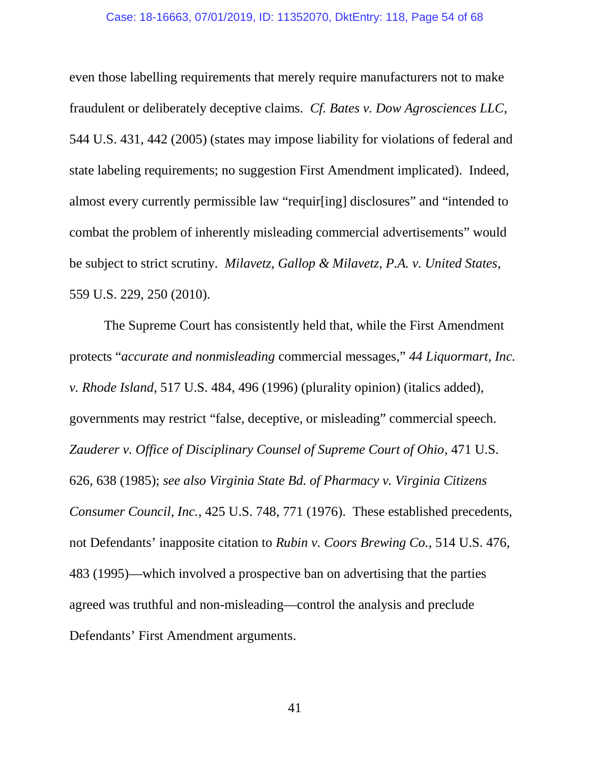#### Case: 18-16663, 07/01/2019, ID: 11352070, DktEntry: 118, Page 54 of 68

even those labelling requirements that merely require manufacturers not to make fraudulent or deliberately deceptive claims. *Cf. Bates v. Dow Agrosciences LLC*, 544 U.S. 431, 442 (2005) (states may impose liability for violations of federal and state labeling requirements; no suggestion First Amendment implicated). Indeed, almost every currently permissible law "requir[ing] disclosures" and "intended to combat the problem of inherently misleading commercial advertisements" would be subject to strict scrutiny. *Milavetz, Gallop & Milavetz, P.A. v. United States*, 559 U.S. 229, 250 (2010).

The Supreme Court has consistently held that, while the First Amendment protects "*accurate and nonmisleading* commercial messages," *44 Liquormart, Inc. v. Rhode Island*, 517 U.S. 484, 496 (1996) (plurality opinion) (italics added), governments may restrict "false, deceptive, or misleading" commercial speech. *Zauderer v. Office of Disciplinary Counsel of Supreme Court of Ohio*, 471 U.S. 626, 638 (1985); *see also Virginia State Bd. of Pharmacy v. Virginia Citizens Consumer Council, Inc.*, 425 U.S. 748, 771 (1976). These established precedents, not Defendants' inapposite citation to *Rubin v. Coors Brewing Co.*, 514 U.S. 476, 483 (1995)—which involved a prospective ban on advertising that the parties agreed was truthful and non-misleading—control the analysis and preclude Defendants' First Amendment arguments.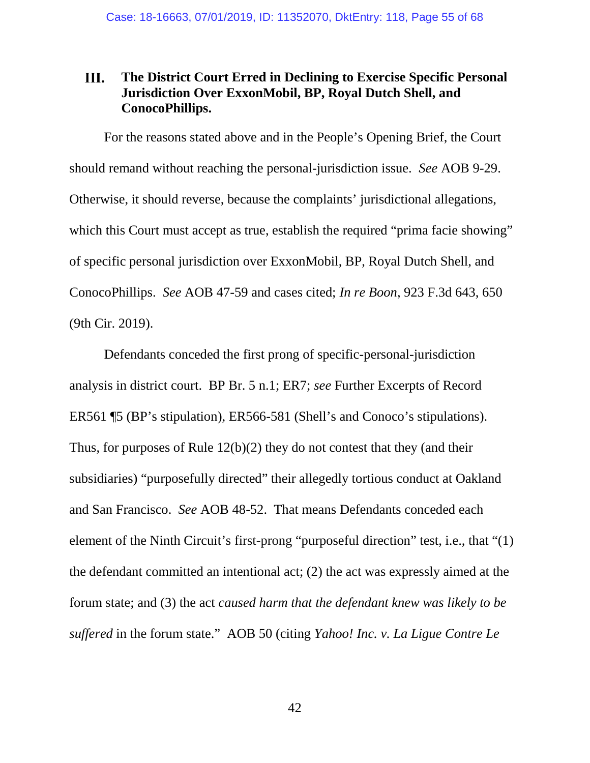#### III. **The District Court Erred in Declining to Exercise Specific Personal Jurisdiction Over ExxonMobil, BP, Royal Dutch Shell, and ConocoPhillips.**

For the reasons stated above and in the People's Opening Brief, the Court should remand without reaching the personal-jurisdiction issue. *See* AOB 9-29. Otherwise, it should reverse, because the complaints' jurisdictional allegations, which this Court must accept as true, establish the required "prima facie showing" of specific personal jurisdiction over ExxonMobil, BP, Royal Dutch Shell, and ConocoPhillips. *See* AOB 47-59 and cases cited; *In re Boon*, 923 F.3d 643, 650 (9th Cir. 2019).

Defendants conceded the first prong of specific-personal-jurisdiction analysis in district court. BP Br. 5 n.1; ER7; *see* Further Excerpts of Record ER561 ¶5 (BP's stipulation), ER566-581 (Shell's and Conoco's stipulations). Thus, for purposes of Rule 12(b)(2) they do not contest that they (and their subsidiaries) "purposefully directed" their allegedly tortious conduct at Oakland and San Francisco. *See* AOB 48-52. That means Defendants conceded each element of the Ninth Circuit's first-prong "purposeful direction" test, i.e., that "(1) the defendant committed an intentional act; (2) the act was expressly aimed at the forum state; and (3) the act *caused harm that the defendant knew was likely to be suffered* in the forum state." AOB 50 (citing *Yahoo! Inc. v. La Ligue Contre Le*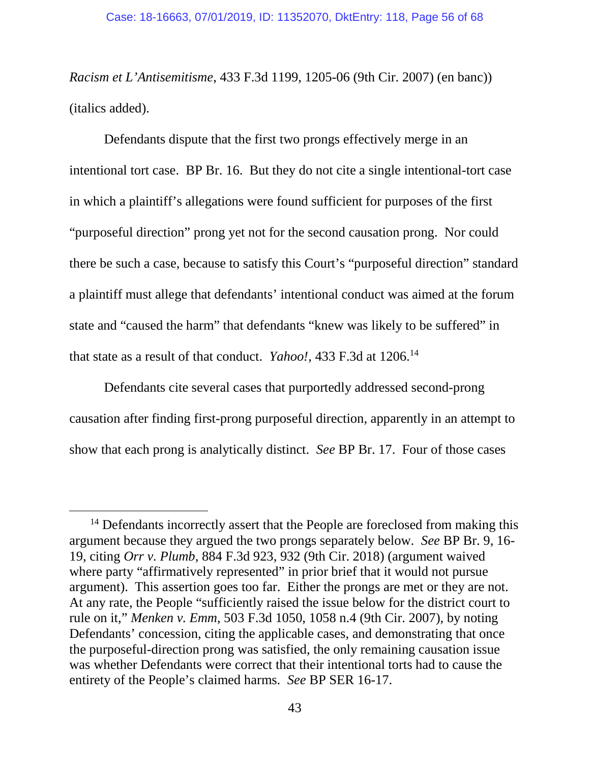*Racism et L'Antisemitisme*, 433 F.3d 1199, 1205-06 (9th Cir. 2007) (en banc)) (italics added).

Defendants dispute that the first two prongs effectively merge in an intentional tort case. BP Br. 16. But they do not cite a single intentional-tort case in which a plaintiff's allegations were found sufficient for purposes of the first "purposeful direction" prong yet not for the second causation prong. Nor could there be such a case, because to satisfy this Court's "purposeful direction" standard a plaintiff must allege that defendants' intentional conduct was aimed at the forum state and "caused the harm" that defendants "knew was likely to be suffered" in that state as a result of that conduct. *Yahoo!*, 433 F.3d at 1206.<sup>14</sup>

Defendants cite several cases that purportedly addressed second-prong causation after finding first-prong purposeful direction, apparently in an attempt to show that each prong is analytically distinct. *See* BP Br. 17. Four of those cases

<sup>&</sup>lt;sup>14</sup> Defendants incorrectly assert that the People are foreclosed from making this argument because they argued the two prongs separately below. *See* BP Br. 9, 16- 19, citing *Orr v. Plumb*, 884 F.3d 923, 932 (9th Cir. 2018) (argument waived where party "affirmatively represented" in prior brief that it would not pursue argument). This assertion goes too far. Either the prongs are met or they are not. At any rate, the People "sufficiently raised the issue below for the district court to rule on it," *Menken v. Emm*, 503 F.3d 1050, 1058 n.4 (9th Cir. 2007), by noting Defendants' concession, citing the applicable cases, and demonstrating that once the purposeful-direction prong was satisfied, the only remaining causation issue was whether Defendants were correct that their intentional torts had to cause the entirety of the People's claimed harms. *See* BP SER 16-17.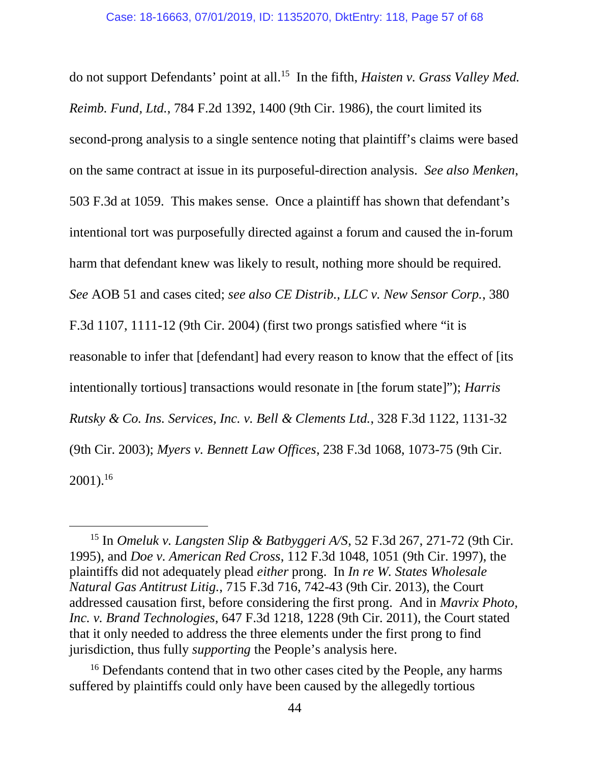do not support Defendants' point at all.<sup>15</sup> In the fifth, *Haisten v. Grass Valley Med. Reimb. Fund, Ltd.*, 784 F.2d 1392, 1400 (9th Cir. 1986), the court limited its second-prong analysis to a single sentence noting that plaintiff's claims were based on the same contract at issue in its purposeful-direction analysis. *See also Menken*, 503 F.3d at 1059. This makes sense. Once a plaintiff has shown that defendant's intentional tort was purposefully directed against a forum and caused the in-forum harm that defendant knew was likely to result, nothing more should be required. *See* AOB 51 and cases cited; *see also CE Distrib., LLC v. New Sensor Corp.*, 380 F.3d 1107, 1111-12 (9th Cir. 2004) (first two prongs satisfied where "it is reasonable to infer that [defendant] had every reason to know that the effect of [its intentionally tortious] transactions would resonate in [the forum state]"); *Harris Rutsky & Co. Ins. Services, Inc. v. Bell & Clements Ltd.*, 328 F.3d 1122, 1131-32 (9th Cir. 2003); *Myers v. Bennett Law Offices*, 238 F.3d 1068, 1073-75 (9th Cir.  $2001$ ).<sup>16</sup>

<sup>15</sup> In *Omeluk v. Langsten Slip & Batbyggeri A/S*, 52 F.3d 267, 271-72 (9th Cir. 1995), and *Doe v. American Red Cross*, 112 F.3d 1048, 1051 (9th Cir. 1997), the plaintiffs did not adequately plead *either* prong. In *In re W. States Wholesale Natural Gas Antitrust Litig.*, 715 F.3d 716, 742-43 (9th Cir. 2013), the Court addressed causation first, before considering the first prong. And in *Mavrix Photo, Inc. v. Brand Technologies*, 647 F.3d 1218, 1228 (9th Cir. 2011), the Court stated that it only needed to address the three elements under the first prong to find jurisdiction, thus fully *supporting* the People's analysis here.

<sup>&</sup>lt;sup>16</sup> Defendants contend that in two other cases cited by the People, any harms suffered by plaintiffs could only have been caused by the allegedly tortious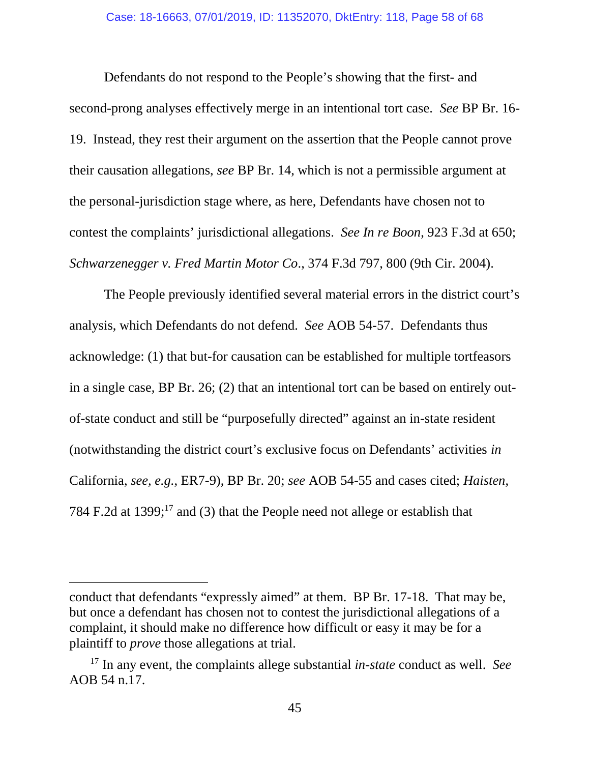Defendants do not respond to the People's showing that the first- and second-prong analyses effectively merge in an intentional tort case. *See* BP Br. 16- 19. Instead, they rest their argument on the assertion that the People cannot prove their causation allegations, *see* BP Br. 14, which is not a permissible argument at the personal-jurisdiction stage where, as here, Defendants have chosen not to contest the complaints' jurisdictional allegations. *See In re Boon*, 923 F.3d at 650; *Schwarzenegger v. Fred Martin Motor Co*., 374 F.3d 797, 800 (9th Cir. 2004).

The People previously identified several material errors in the district court's analysis, which Defendants do not defend. *See* AOB 54-57. Defendants thus acknowledge: (1) that but-for causation can be established for multiple tortfeasors in a single case, BP Br. 26; (2) that an intentional tort can be based on entirely outof-state conduct and still be "purposefully directed" against an in-state resident (notwithstanding the district court's exclusive focus on Defendants' activities *in* California, *see, e.g.*, ER7-9), BP Br. 20; *see* AOB 54-55 and cases cited; *Haisten*, 784 F.2d at 1399; $^{17}$  and (3) that the People need not allege or establish that

conduct that defendants "expressly aimed" at them. BP Br. 17-18. That may be, but once a defendant has chosen not to contest the jurisdictional allegations of a complaint, it should make no difference how difficult or easy it may be for a plaintiff to *prove* those allegations at trial.

<sup>17</sup> In any event, the complaints allege substantial *in-state* conduct as well. *See* AOB 54 n.17.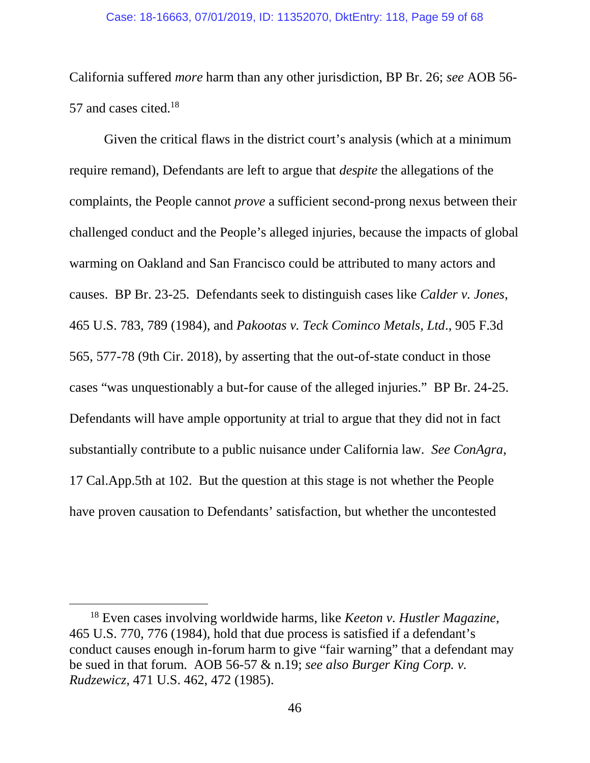#### Case: 18-16663, 07/01/2019, ID: 11352070, DktEntry: 118, Page 59 of 68

California suffered *more* harm than any other jurisdiction, BP Br. 26; *see* AOB 56- 57 and cases cited.<sup>18</sup>

Given the critical flaws in the district court's analysis (which at a minimum require remand), Defendants are left to argue that *despite* the allegations of the complaints, the People cannot *prove* a sufficient second-prong nexus between their challenged conduct and the People's alleged injuries, because the impacts of global warming on Oakland and San Francisco could be attributed to many actors and causes. BP Br. 23-25. Defendants seek to distinguish cases like *Calder v. Jones*, 465 U.S. 783, 789 (1984), and *Pakootas v. Teck Cominco Metals, Ltd*., 905 F.3d 565, 577-78 (9th Cir. 2018), by asserting that the out-of-state conduct in those cases "was unquestionably a but-for cause of the alleged injuries." BP Br. 24-25*.* Defendants will have ample opportunity at trial to argue that they did not in fact substantially contribute to a public nuisance under California law. *See ConAgra*, 17 Cal.App.5th at 102. But the question at this stage is not whether the People have proven causation to Defendants' satisfaction, but whether the uncontested

<sup>18</sup> Even cases involving worldwide harms, like *Keeton v. Hustler Magazine*, 465 U.S. 770, 776 (1984), hold that due process is satisfied if a defendant's conduct causes enough in-forum harm to give "fair warning" that a defendant may be sued in that forum. AOB 56-57 & n.19; *see also Burger King Corp. v. Rudzewicz*, 471 U.S. 462, 472 (1985).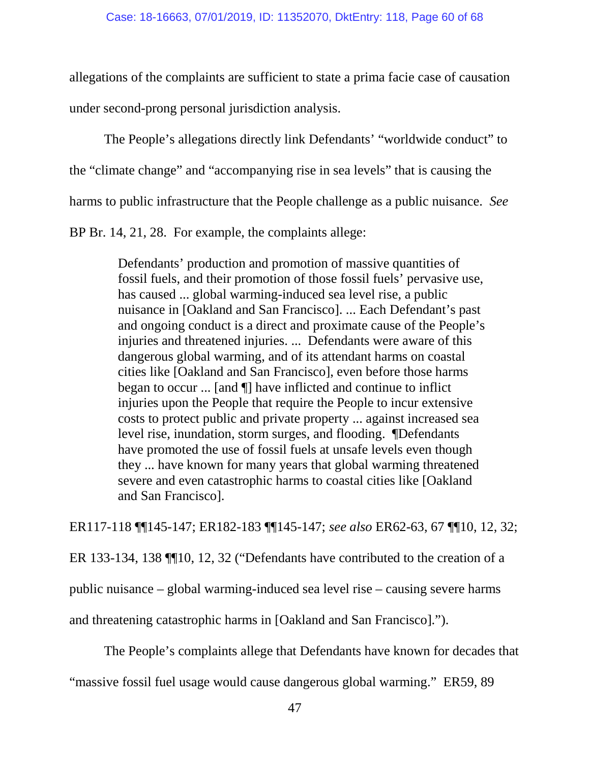allegations of the complaints are sufficient to state a prima facie case of causation under second-prong personal jurisdiction analysis.

The People's allegations directly link Defendants' "worldwide conduct" to the "climate change" and "accompanying rise in sea levels" that is causing the harms to public infrastructure that the People challenge as a public nuisance. *See*

BP Br. 14, 21, 28. For example, the complaints allege:

Defendants' production and promotion of massive quantities of fossil fuels, and their promotion of those fossil fuels' pervasive use, has caused ... global warming-induced sea level rise, a public nuisance in [Oakland and San Francisco]. ... Each Defendant's past and ongoing conduct is a direct and proximate cause of the People's injuries and threatened injuries. ... Defendants were aware of this dangerous global warming, and of its attendant harms on coastal cities like [Oakland and San Francisco], even before those harms began to occur ... [and ¶] have inflicted and continue to inflict injuries upon the People that require the People to incur extensive costs to protect public and private property ... against increased sea level rise, inundation, storm surges, and flooding. ¶Defendants have promoted the use of fossil fuels at unsafe levels even though they ... have known for many years that global warming threatened severe and even catastrophic harms to coastal cities like [Oakland and San Francisco].

ER117-118 ¶¶145-147; ER182-183 ¶¶145-147; *see also* ER62-63, 67 ¶¶10, 12, 32;

ER 133-134, 138 ¶¶10, 12, 32 ("Defendants have contributed to the creation of a

public nuisance – global warming-induced sea level rise – causing severe harms

and threatening catastrophic harms in [Oakland and San Francisco].").

The People's complaints allege that Defendants have known for decades that

"massive fossil fuel usage would cause dangerous global warming." ER59, 89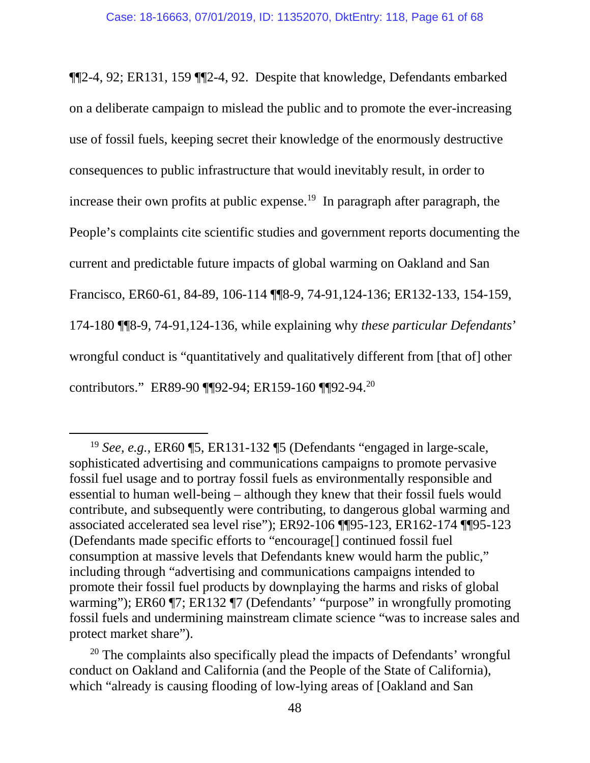¶¶2-4, 92; ER131, 159 ¶¶2-4, 92. Despite that knowledge, Defendants embarked on a deliberate campaign to mislead the public and to promote the ever-increasing use of fossil fuels, keeping secret their knowledge of the enormously destructive consequences to public infrastructure that would inevitably result, in order to increase their own profits at public expense.<sup>19</sup> In paragraph after paragraph, the People's complaints cite scientific studies and government reports documenting the current and predictable future impacts of global warming on Oakland and San Francisco, ER60-61, 84-89, 106-114 ¶¶8-9, 74-91,124-136; ER132-133, 154-159, 174-180 ¶¶8-9, 74-91,124-136, while explaining why *these particular Defendants*' wrongful conduct is "quantitatively and qualitatively different from [that of] other contributors." ER89-90 ¶¶92-94; ER159-160 ¶¶92-94.<sup>20</sup>

<sup>19</sup> *See, e.g.*, ER60 ¶5, ER131-132 ¶5 (Defendants "engaged in large-scale, sophisticated advertising and communications campaigns to promote pervasive fossil fuel usage and to portray fossil fuels as environmentally responsible and essential to human well-being – although they knew that their fossil fuels would contribute, and subsequently were contributing, to dangerous global warming and associated accelerated sea level rise"); ER92-106 ¶¶95-123, ER162-174 ¶¶95-123 (Defendants made specific efforts to "encourage[] continued fossil fuel consumption at massive levels that Defendants knew would harm the public," including through "advertising and communications campaigns intended to promote their fossil fuel products by downplaying the harms and risks of global warming"); ER60 ¶7; ER132 ¶7 (Defendants' "purpose" in wrongfully promoting fossil fuels and undermining mainstream climate science "was to increase sales and protect market share").

 $20$  The complaints also specifically plead the impacts of Defendants' wrongful conduct on Oakland and California (and the People of the State of California), which "already is causing flooding of low-lying areas of [Oakland and San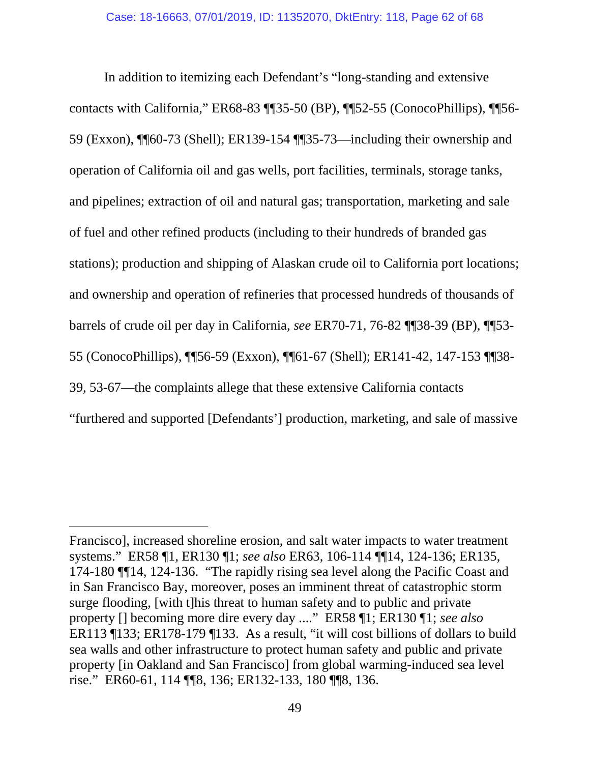In addition to itemizing each Defendant's "long-standing and extensive contacts with California," ER68-83 ¶¶35-50 (BP), ¶¶52-55 (ConocoPhillips), ¶¶56- 59 (Exxon), ¶¶60-73 (Shell); ER139-154 ¶¶35-73—including their ownership and operation of California oil and gas wells, port facilities, terminals, storage tanks, and pipelines; extraction of oil and natural gas; transportation, marketing and sale of fuel and other refined products (including to their hundreds of branded gas stations); production and shipping of Alaskan crude oil to California port locations; and ownership and operation of refineries that processed hundreds of thousands of barrels of crude oil per day in California, *see* ER70-71, 76-82 ¶¶38-39 (BP), ¶¶53- 55 (ConocoPhillips), ¶¶56-59 (Exxon), ¶¶61-67 (Shell); ER141-42, 147-153 ¶¶38- 39, 53-67—the complaints allege that these extensive California contacts "furthered and supported [Defendants'] production, marketing, and sale of massive

Francisco], increased shoreline erosion, and salt water impacts to water treatment systems." ER58 ¶1, ER130 ¶1; *see also* ER63, 106-114 ¶¶14, 124-136; ER135, 174-180 ¶¶14, 124-136. "The rapidly rising sea level along the Pacific Coast and in San Francisco Bay, moreover, poses an imminent threat of catastrophic storm surge flooding, [with t]his threat to human safety and to public and private property [] becoming more dire every day ...." ER58 ¶1; ER130 ¶1; *see also* ER113 ¶133; ER178-179 ¶133. As a result, "it will cost billions of dollars to build sea walls and other infrastructure to protect human safety and public and private property [in Oakland and San Francisco] from global warming-induced sea level rise." ER60-61, 114 ¶¶8, 136; ER132-133, 180 ¶¶8, 136.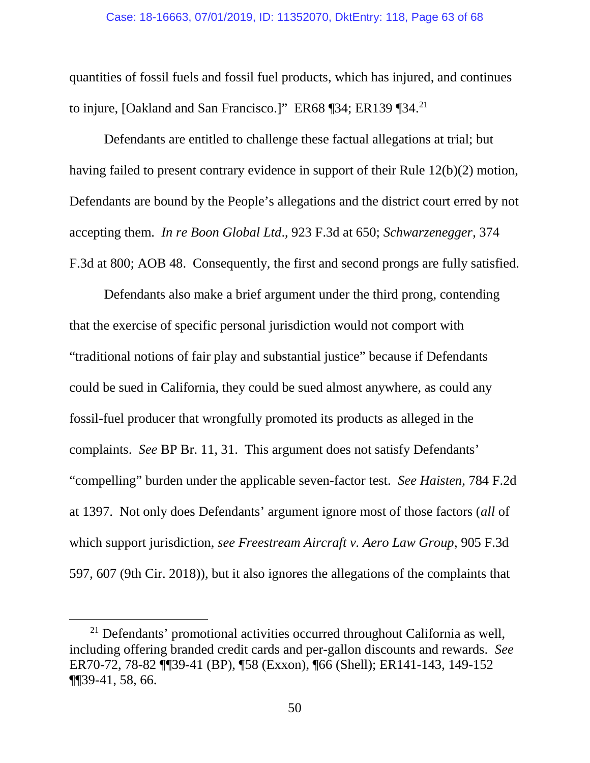quantities of fossil fuels and fossil fuel products, which has injured, and continues to injure, [Oakland and San Francisco.]" ER68 ¶34; ER139 ¶34.<sup>21</sup>

Defendants are entitled to challenge these factual allegations at trial; but having failed to present contrary evidence in support of their Rule 12(b)(2) motion, Defendants are bound by the People's allegations and the district court erred by not accepting them. *In re Boon Global Ltd*., 923 F.3d at 650; *Schwarzenegger*, 374 F.3d at 800; AOB 48. Consequently, the first and second prongs are fully satisfied.

Defendants also make a brief argument under the third prong, contending that the exercise of specific personal jurisdiction would not comport with "traditional notions of fair play and substantial justice" because if Defendants could be sued in California, they could be sued almost anywhere, as could any fossil-fuel producer that wrongfully promoted its products as alleged in the complaints. *See* BP Br. 11, 31. This argument does not satisfy Defendants' "compelling" burden under the applicable seven-factor test. *See Haisten*, 784 F.2d at 1397. Not only does Defendants' argument ignore most of those factors (*all* of which support jurisdiction, *see Freestream Aircraft v. Aero Law Group*, 905 F.3d 597, 607 (9th Cir. 2018)), but it also ignores the allegations of the complaints that

<sup>21</sup> Defendants' promotional activities occurred throughout California as well, including offering branded credit cards and per-gallon discounts and rewards. *See* ER70-72, 78-82 ¶¶39-41 (BP), ¶58 (Exxon), ¶66 (Shell); ER141-143, 149-152 ¶¶39-41, 58, 66.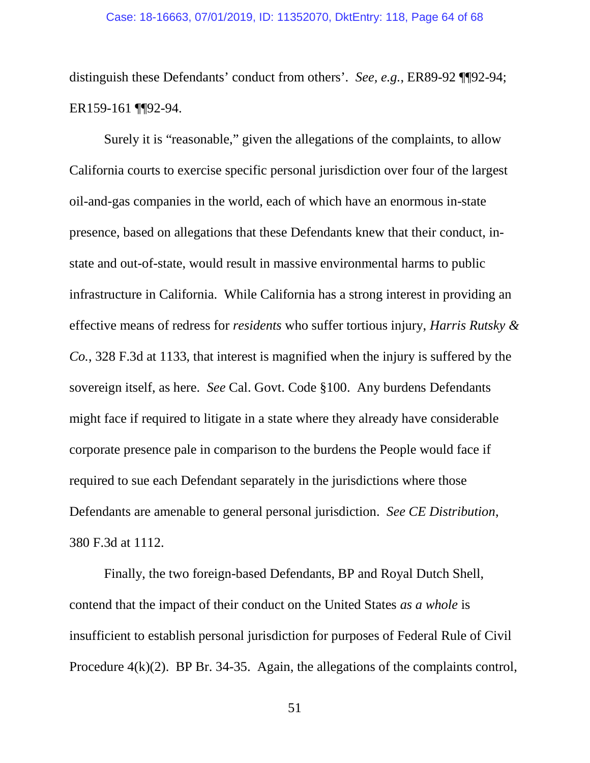distinguish these Defendants' conduct from others'. *See, e.g.*, ER89-92 ¶¶92-94; ER159-161 ¶¶92-94.

Surely it is "reasonable," given the allegations of the complaints, to allow California courts to exercise specific personal jurisdiction over four of the largest oil-and-gas companies in the world, each of which have an enormous in-state presence, based on allegations that these Defendants knew that their conduct, instate and out-of-state, would result in massive environmental harms to public infrastructure in California. While California has a strong interest in providing an effective means of redress for *residents* who suffer tortious injury, *Harris Rutsky & Co.*, 328 F.3d at 1133, that interest is magnified when the injury is suffered by the sovereign itself, as here. *See* Cal. Govt. Code §100. Any burdens Defendants might face if required to litigate in a state where they already have considerable corporate presence pale in comparison to the burdens the People would face if required to sue each Defendant separately in the jurisdictions where those Defendants are amenable to general personal jurisdiction. *See CE Distribution*, 380 F.3d at 1112.

Finally, the two foreign-based Defendants, BP and Royal Dutch Shell, contend that the impact of their conduct on the United States *as a whole* is insufficient to establish personal jurisdiction for purposes of Federal Rule of Civil Procedure 4(k)(2). BP Br. 34-35. Again, the allegations of the complaints control,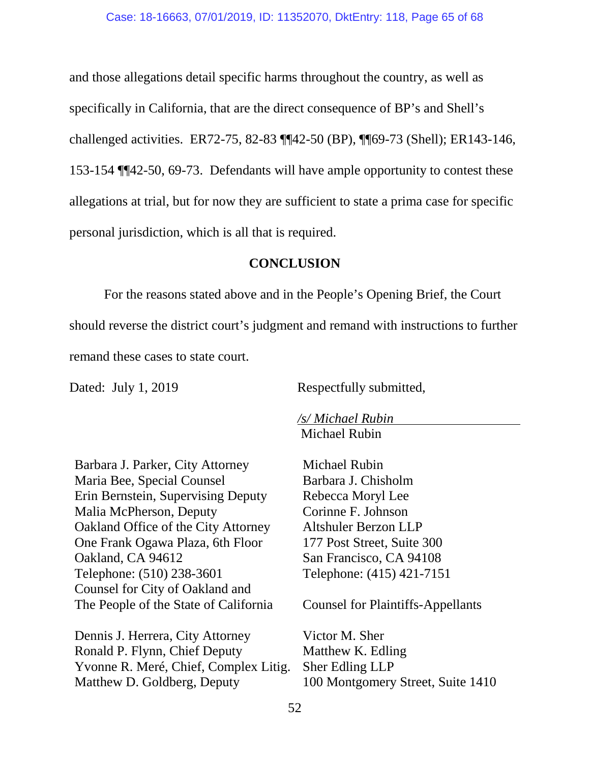and those allegations detail specific harms throughout the country, as well as specifically in California, that are the direct consequence of BP's and Shell's challenged activities. ER72-75, 82-83 ¶¶42-50 (BP), ¶¶69-73 (Shell); ER143-146, 153-154 ¶¶42-50, 69-73. Defendants will have ample opportunity to contest these allegations at trial, but for now they are sufficient to state a prima case for specific personal jurisdiction, which is all that is required.

#### **CONCLUSION**

For the reasons stated above and in the People's Opening Brief, the Court should reverse the district court's judgment and remand with instructions to further remand these cases to state court.

Dated: July 1, 2019 Respectfully submitted,

*/s/ Michael Rubin* Michael Rubin

Barbara J. Parker, City Attorney Maria Bee, Special Counsel Erin Bernstein, Supervising Deputy Malia McPherson, Deputy Oakland Office of the City Attorney One Frank Ogawa Plaza, 6th Floor Oakland, CA 94612 Telephone: (510) 238-3601 Counsel for City of Oakland and The People of the State of California

Dennis J. Herrera, City Attorney Ronald P. Flynn, Chief Deputy Yvonne R. Meré, Chief, Complex Litig. Matthew D. Goldberg, Deputy

Michael Rubin Barbara J. Chisholm Rebecca Moryl Lee Corinne F. Johnson Altshuler Berzon LLP 177 Post Street, Suite 300 San Francisco, CA 94108 Telephone: (415) 421-7151

Counsel for Plaintiffs-Appellants

Victor M. Sher Matthew K. Edling Sher Edling LLP 100 Montgomery Street, Suite 1410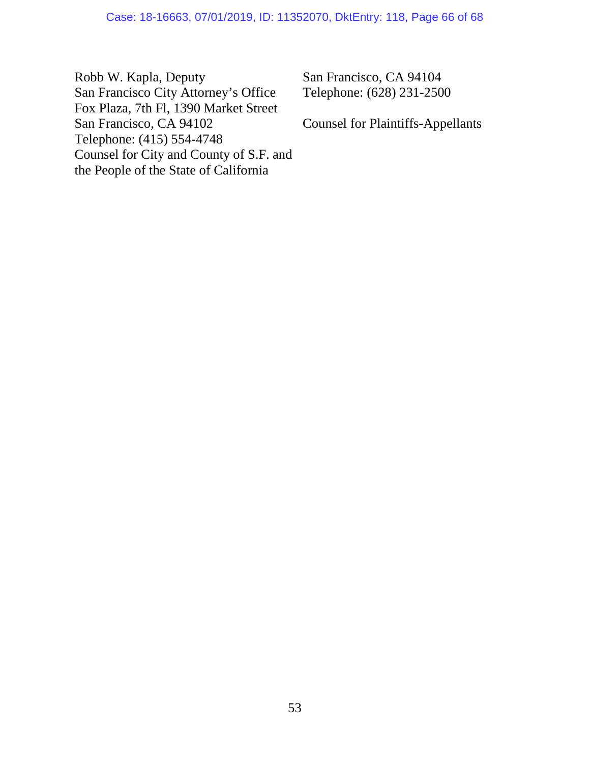Robb W. Kapla, Deputy San Francisco City Attorney's Office Fox Plaza, 7th Fl, 1390 Market Street San Francisco, CA 94102 Telephone: (415) 554-4748 Counsel for City and County of S.F. and the People of the State of California

San Francisco, CA 94104 Telephone: (628) 231-2500

Counsel for Plaintiffs-Appellants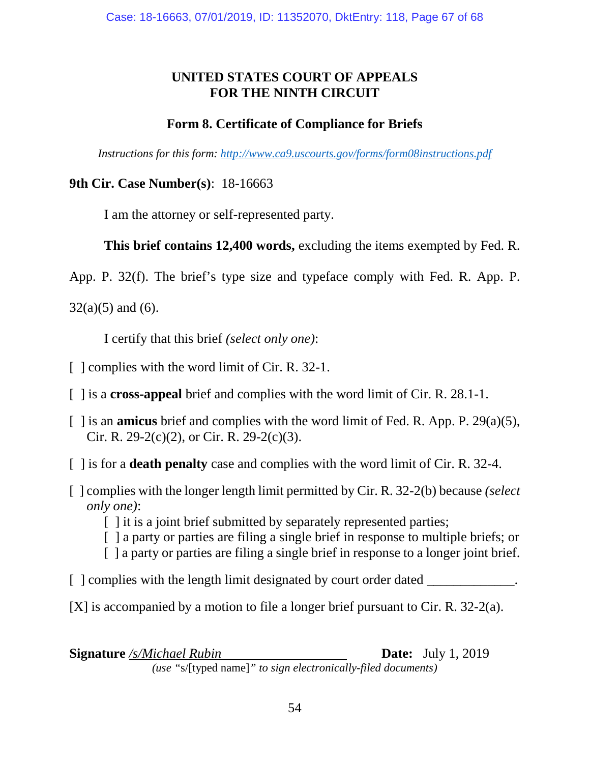### **UNITED STATES COURT OF APPEALS FOR THE NINTH CIRCUIT**

### **Form 8. Certificate of Compliance for Briefs**

*Instructions for this form: http://www.ca9.uscourts.gov/forms/form08instructions.pdf*

### **9th Cir. Case Number(s)**: 18-16663

I am the attorney or self-represented party.

## **This brief contains 12,400 words,** excluding the items exempted by Fed. R.

App. P. 32(f). The brief's type size and typeface comply with Fed. R. App. P.

 $32(a)(5)$  and (6).

I certify that this brief *(select only one)*:

- [ ] complies with the word limit of Cir. R. 32-1.
- [ ] is a **cross-appeal** brief and complies with the word limit of Cir. R. 28.1-1.
- [ ] is an **amicus** brief and complies with the word limit of Fed. R. App. P. 29(a)(5), Cir. R. 29-2(c)(2), or Cir. R. 29-2(c)(3).
- [ ] is for a **death penalty** case and complies with the word limit of Cir. R. 32-4.
- [ ] complies with the longer length limit permitted by Cir. R. 32-2(b) because *(select only one)*:
	- [ ] it is a joint brief submitted by separately represented parties;
	- [ ] a party or parties are filing a single brief in response to multiple briefs; or
	- [ ] a party or parties are filing a single brief in response to a longer joint brief.
- [ ] complies with the length limit designated by court order dated \_\_\_\_\_\_\_\_\_\_\_\_.
- [X] is accompanied by a motion to file a longer brief pursuant to Cir. R. 32-2(a).

| <b>Signature</b> /s/Michael Rubin                             | <b>Date:</b> July 1, 2019 |
|---------------------------------------------------------------|---------------------------|
| (use "s/[typed name]" to sign electronically-filed documents) |                           |

(*use* s/[typed name] *to sign electronically-file*